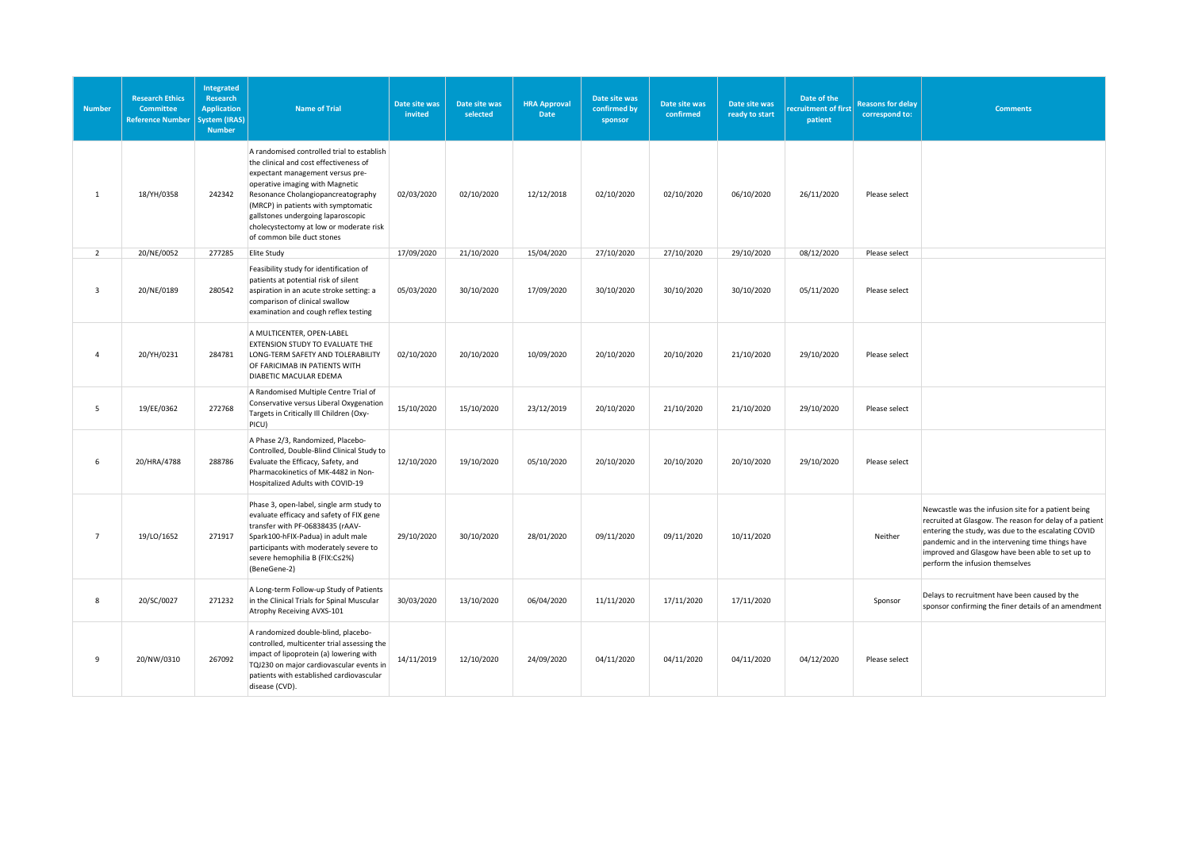| <b>Number</b>  | <b>Research Ethics</b><br><b>Committee</b><br><b>Reference Number</b> | <b>Integrated</b><br>Research<br><b>Application</b><br>ystem (IRAS)<br><b>Number</b> | <b>Name of Trial</b>                                                                                                                                                                                                                                                                                                                                    | Date site was<br>invited | Date site was<br>selected | <b>HRA Approval</b><br><b>Date</b> | Date site was<br>confirmed by<br>sponsor | Date site was<br>confirmed | Date site was<br>ready to start | Date of the<br>ecruitment of first<br>patient | <b>Reasons for delay</b><br>correspond to: | <b>Comments</b>                                                                                                                                                                                                                                                                                                  |
|----------------|-----------------------------------------------------------------------|--------------------------------------------------------------------------------------|---------------------------------------------------------------------------------------------------------------------------------------------------------------------------------------------------------------------------------------------------------------------------------------------------------------------------------------------------------|--------------------------|---------------------------|------------------------------------|------------------------------------------|----------------------------|---------------------------------|-----------------------------------------------|--------------------------------------------|------------------------------------------------------------------------------------------------------------------------------------------------------------------------------------------------------------------------------------------------------------------------------------------------------------------|
| 1              | 18/YH/0358                                                            | 242342                                                                               | A randomised controlled trial to establish<br>the clinical and cost effectiveness of<br>expectant management versus pre-<br>operative imaging with Magnetic<br>Resonance Cholangiopancreatography<br>(MRCP) in patients with symptomatic<br>gallstones undergoing laparoscopic<br>cholecystectomy at low or moderate risk<br>of common bile duct stones | 02/03/2020               | 02/10/2020                | 12/12/2018                         | 02/10/2020                               | 02/10/2020                 | 06/10/2020                      | 26/11/2020                                    | Please select                              |                                                                                                                                                                                                                                                                                                                  |
| $\overline{2}$ | 20/NE/0052                                                            | 277285                                                                               | <b>Elite Study</b>                                                                                                                                                                                                                                                                                                                                      | 17/09/2020               | 21/10/2020                | 15/04/2020                         | 27/10/2020                               | 27/10/2020                 | 29/10/2020                      | 08/12/2020                                    | Please select                              |                                                                                                                                                                                                                                                                                                                  |
| 3              | 20/NE/0189                                                            | 280542                                                                               | Feasibility study for identification of<br>patients at potential risk of silent<br>aspiration in an acute stroke setting: a<br>comparison of clinical swallow<br>examination and cough reflex testing                                                                                                                                                   | 05/03/2020               | 30/10/2020                | 17/09/2020                         | 30/10/2020                               | 30/10/2020                 | 30/10/2020                      | 05/11/2020                                    | Please select                              |                                                                                                                                                                                                                                                                                                                  |
| $\overline{4}$ | 20/YH/0231                                                            | 284781                                                                               | A MULTICENTER, OPEN-LABEL<br>EXTENSION STUDY TO EVALUATE THE<br>LONG-TERM SAFETY AND TOLERABILITY<br>OF FARICIMAB IN PATIENTS WITH<br>DIABETIC MACULAR EDEMA                                                                                                                                                                                            | 02/10/2020               | 20/10/2020                | 10/09/2020                         | 20/10/2020                               | 20/10/2020                 | 21/10/2020                      | 29/10/2020                                    | Please select                              |                                                                                                                                                                                                                                                                                                                  |
| 5              | 19/EE/0362                                                            | 272768                                                                               | A Randomised Multiple Centre Trial of<br>Conservative versus Liberal Oxygenation<br>Targets in Critically III Children (Oxy-<br>PICU)                                                                                                                                                                                                                   | 15/10/2020               | 15/10/2020                | 23/12/2019                         | 20/10/2020                               | 21/10/2020                 | 21/10/2020                      | 29/10/2020                                    | Please select                              |                                                                                                                                                                                                                                                                                                                  |
| 6              | 20/HRA/4788                                                           | 288786                                                                               | A Phase 2/3, Randomized, Placebo-<br>Controlled, Double-Blind Clinical Study to<br>Evaluate the Efficacy, Safety, and<br>Pharmacokinetics of MK-4482 in Non-<br>Hospitalized Adults with COVID-19                                                                                                                                                       | 12/10/2020               | 19/10/2020                | 05/10/2020                         | 20/10/2020                               | 20/10/2020                 | 20/10/2020                      | 29/10/2020                                    | Please select                              |                                                                                                                                                                                                                                                                                                                  |
| $\overline{7}$ | 19/LO/1652                                                            | 271917                                                                               | Phase 3, open-label, single arm study to<br>evaluate efficacy and safety of FIX gene<br>transfer with PF-06838435 (rAAV-<br>Spark100-hFIX-Padua) in adult male<br>participants with moderately severe to<br>severe hemophilia B (FIX:C≤2%)<br>(BeneGene-2)                                                                                              | 29/10/2020               | 30/10/2020                | 28/01/2020                         | 09/11/2020                               | 09/11/2020                 | 10/11/2020                      |                                               | Neither                                    | Newcastle was the infusion site for a patient being<br>recruited at Glasgow. The reason for delay of a patient<br>entering the study, was due to the escalating COVID<br>pandemic and in the intervening time things have<br>improved and Glasgow have been able to set up to<br>perform the infusion themselves |
| 8              | 20/SC/0027                                                            | 271232                                                                               | A Long-term Follow-up Study of Patients<br>in the Clinical Trials for Spinal Muscular<br>Atrophy Receiving AVXS-101                                                                                                                                                                                                                                     | 30/03/2020               | 13/10/2020                | 06/04/2020                         | 11/11/2020                               | 17/11/2020                 | 17/11/2020                      |                                               | Sponsor                                    | Delays to recruitment have been caused by the<br>sponsor confirming the finer details of an amendment                                                                                                                                                                                                            |
| 9              | 20/NW/0310                                                            | 267092                                                                               | A randomized double-blind, placebo-<br>controlled, multicenter trial assessing the<br>impact of lipoprotein (a) lowering with<br>TQJ230 on major cardiovascular events in<br>patients with established cardiovascular<br>disease (CVD).                                                                                                                 | 14/11/2019               | 12/10/2020                | 24/09/2020                         | 04/11/2020                               | 04/11/2020                 | 04/11/2020                      | 04/12/2020                                    | Please select                              |                                                                                                                                                                                                                                                                                                                  |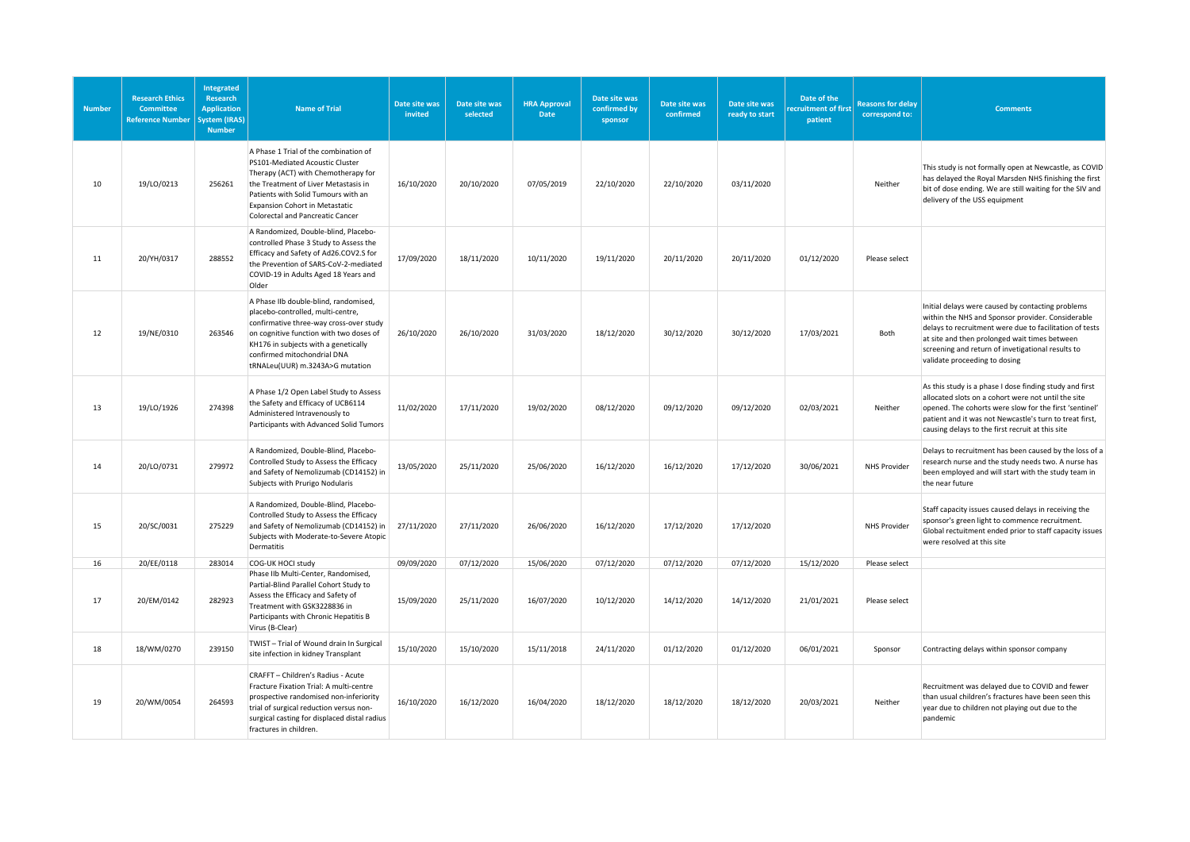| <b>Number</b> | <b>Research Ethics</b><br>Committee<br><b>Reference Number</b> | Integrated<br><b>Research</b><br><b>Application</b><br>ystem (IRAS)<br><b>Number</b> | <b>Name of Trial</b>                                                                                                                                                                                                                                                               | Date site was<br>invited | Date site was<br>selected | <b>HRA Approval</b><br>Date | Date site was<br>confirmed by<br>sponsor | Date site was<br>confirmed | Date site was<br>ready to start | Date of the<br>ecruitment of first<br>patient | <b>Reasons for delay</b><br>correspond to: | <b>Comments</b>                                                                                                                                                                                                                                                                                          |
|---------------|----------------------------------------------------------------|--------------------------------------------------------------------------------------|------------------------------------------------------------------------------------------------------------------------------------------------------------------------------------------------------------------------------------------------------------------------------------|--------------------------|---------------------------|-----------------------------|------------------------------------------|----------------------------|---------------------------------|-----------------------------------------------|--------------------------------------------|----------------------------------------------------------------------------------------------------------------------------------------------------------------------------------------------------------------------------------------------------------------------------------------------------------|
| 10            | 19/LO/0213                                                     | 256261                                                                               | A Phase 1 Trial of the combination of<br>PS101-Mediated Acoustic Cluster<br>Therapy (ACT) with Chemotherapy for<br>the Treatment of Liver Metastasis in<br>Patients with Solid Tumours with an<br><b>Expansion Cohort in Metastatic</b><br><b>Colorectal and Pancreatic Cancer</b> | 16/10/2020               | 20/10/2020                | 07/05/2019                  | 22/10/2020                               | 22/10/2020                 | 03/11/2020                      |                                               | Neither                                    | This study is not formally open at Newcastle, as COVID<br>has delayed the Royal Marsden NHS finishing the first<br>bit of dose ending. We are still waiting for the SIV and<br>delivery of the USS equipment                                                                                             |
| 11            | 20/YH/0317                                                     | 288552                                                                               | A Randomized, Double-blind, Placebo-<br>controlled Phase 3 Study to Assess the<br>Efficacy and Safety of Ad26.COV2.S for<br>the Prevention of SARS-CoV-2-mediated<br>COVID-19 in Adults Aged 18 Years and<br>Older                                                                 | 17/09/2020               | 18/11/2020                | 10/11/2020                  | 19/11/2020                               | 20/11/2020                 | 20/11/2020                      | 01/12/2020                                    | Please select                              |                                                                                                                                                                                                                                                                                                          |
| 12            | 19/NE/0310                                                     | 263546                                                                               | A Phase IIb double-blind, randomised,<br>placebo-controlled, multi-centre,<br>confirmative three-way cross-over study<br>on cognitive function with two doses of<br>KH176 in subjects with a genetically<br>confirmed mitochondrial DNA<br>tRNALeu(UUR) m.3243A>G mutation         | 26/10/2020               | 26/10/2020                | 31/03/2020                  | 18/12/2020                               | 30/12/2020                 | 30/12/2020                      | 17/03/2021                                    | Both                                       | Initial delays were caused by contacting problems<br>within the NHS and Sponsor provider. Considerable<br>delays to recruitment were due to facilitation of tests<br>at site and then prolonged wait times between<br>screening and return of invetigational results to<br>validate proceeding to dosing |
| 13            | 19/LO/1926                                                     | 274398                                                                               | A Phase 1/2 Open Label Study to Assess<br>the Safety and Efficacy of UCB6114<br>Administered Intravenously to<br>Participants with Advanced Solid Tumors                                                                                                                           | 11/02/2020               | 17/11/2020                | 19/02/2020                  | 08/12/2020                               | 09/12/2020                 | 09/12/2020                      | 02/03/2021                                    | Neither                                    | As this study is a phase I dose finding study and first<br>allocated slots on a cohort were not until the site<br>opened. The cohorts were slow for the first 'sentinel'<br>patient and it was not Newcastle's turn to treat first,<br>causing delays to the first recruit at this site                  |
| 14            | 20/LO/0731                                                     | 279972                                                                               | A Randomized, Double-Blind, Placebo-<br>Controlled Study to Assess the Efficacy<br>and Safety of Nemolizumab (CD14152) in<br>Subjects with Prurigo Nodularis                                                                                                                       | 13/05/2020               | 25/11/2020                | 25/06/2020                  | 16/12/2020                               | 16/12/2020                 | 17/12/2020                      | 30/06/2021                                    | <b>NHS Provider</b>                        | Delays to recruitment has been caused by the loss of a<br>research nurse and the study needs two. A nurse has<br>been employed and will start with the study team in<br>the near future                                                                                                                  |
| 15            | 20/SC/0031                                                     | 275229                                                                               | A Randomized, Double-Blind, Placebo-<br>Controlled Study to Assess the Efficacy<br>and Safety of Nemolizumab (CD14152) in<br>Subjects with Moderate-to-Severe Atopic<br>Dermatitis                                                                                                 | 27/11/2020               | 27/11/2020                | 26/06/2020                  | 16/12/2020                               | 17/12/2020                 | 17/12/2020                      |                                               | <b>NHS Provider</b>                        | Staff capacity issues caused delays in receiving the<br>sponsor's green light to commence recruitment.<br>Global rectuitment ended prior to staff capacity issues<br>were resolved at this site                                                                                                          |
| 16            | 20/EE/0118                                                     | 283014                                                                               | COG-UK HOCI study<br>Phase IIb Multi-Center, Randomised,                                                                                                                                                                                                                           | 09/09/2020               | 07/12/2020                | 15/06/2020                  | 07/12/2020                               | 07/12/2020                 | 07/12/2020                      | 15/12/2020                                    | Please select                              |                                                                                                                                                                                                                                                                                                          |
| 17            | 20/EM/0142                                                     | 282923                                                                               | Partial-Blind Parallel Cohort Study to<br>Assess the Efficacy and Safety of<br>Treatment with GSK3228836 in<br>Participants with Chronic Hepatitis B<br>Virus (B-Clear)                                                                                                            | 15/09/2020               | 25/11/2020                | 16/07/2020                  | 10/12/2020                               | 14/12/2020                 | 14/12/2020                      | 21/01/2021                                    | Please select                              |                                                                                                                                                                                                                                                                                                          |
| 18            | 18/WM/0270                                                     | 239150                                                                               | TWIST - Trial of Wound drain In Surgical<br>site infection in kidney Transplant                                                                                                                                                                                                    | 15/10/2020               | 15/10/2020                | 15/11/2018                  | 24/11/2020                               | 01/12/2020                 | 01/12/2020                      | 06/01/2021                                    | Sponsor                                    | Contracting delays within sponsor company                                                                                                                                                                                                                                                                |
| 19            | 20/WM/0054                                                     | 264593                                                                               | CRAFFT - Children's Radius - Acute<br>Fracture Fixation Trial: A multi-centre<br>prospective randomised non-inferiority<br>trial of surgical reduction versus non-<br>surgical casting for displaced distal radius<br>fractures in children.                                       | 16/10/2020               | 16/12/2020                | 16/04/2020                  | 18/12/2020                               | 18/12/2020                 | 18/12/2020                      | 20/03/2021                                    | Neither                                    | Recruitment was delayed due to COVID and fewer<br>than usual children's fractures have been seen this<br>year due to children not playing out due to the<br>pandemic                                                                                                                                     |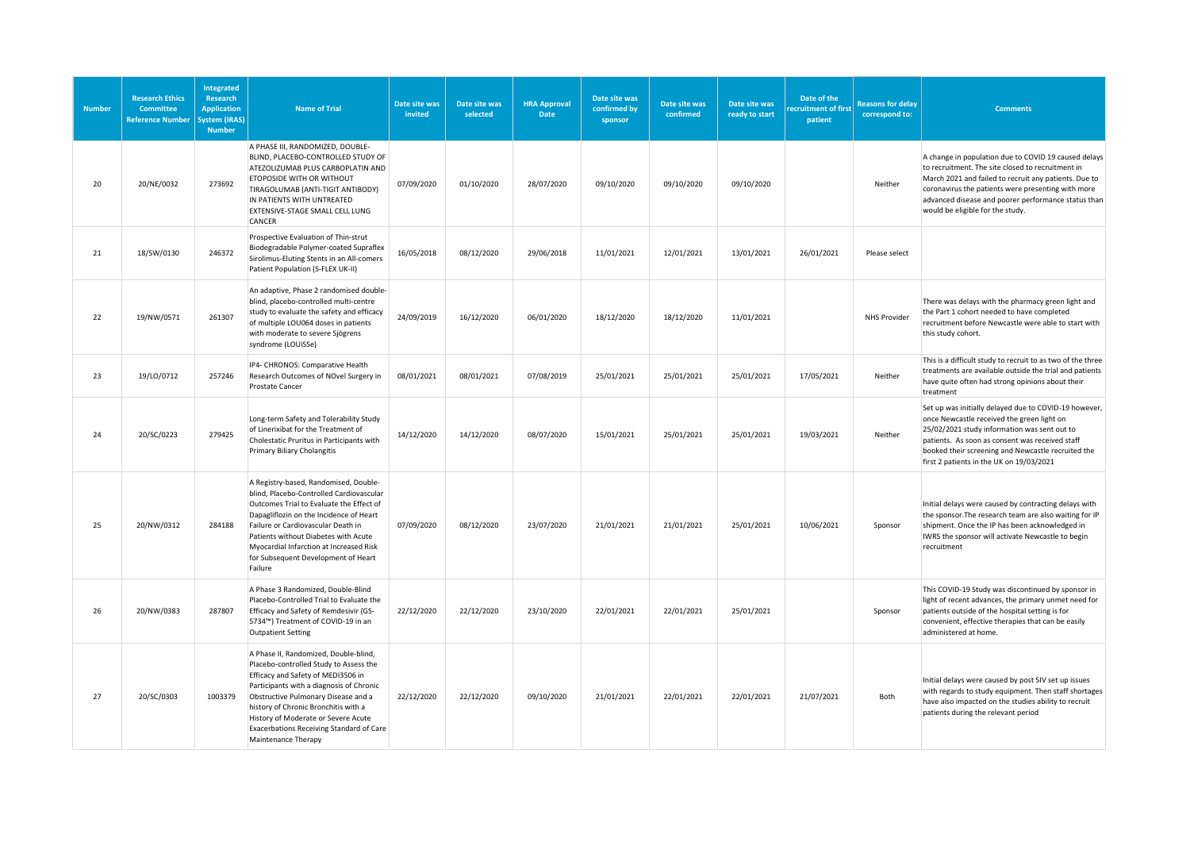| <b>Number</b> | <b>Research Ethics</b><br>Committee<br><b>Reference Number</b> | Integrated<br><b>Research</b><br><b>Application</b><br>System (IRAS)<br><b>Number</b> | <b>Name of Trial</b>                                                                                                                                                                                                                                                                                                                                       | Date site was<br>invited | Date site was<br>selected | <b>HRA Approval</b><br><b>Date</b> | Date site was<br>confirmed by<br>sponsor | Date site was<br>confirmed | Date site was<br>ready to start | Date of the<br>ecruitment of first<br>patient | <b>Reasons for delay</b><br>correspond to: | <b>Comments</b>                                                                                                                                                                                                                                                                                                     |
|---------------|----------------------------------------------------------------|---------------------------------------------------------------------------------------|------------------------------------------------------------------------------------------------------------------------------------------------------------------------------------------------------------------------------------------------------------------------------------------------------------------------------------------------------------|--------------------------|---------------------------|------------------------------------|------------------------------------------|----------------------------|---------------------------------|-----------------------------------------------|--------------------------------------------|---------------------------------------------------------------------------------------------------------------------------------------------------------------------------------------------------------------------------------------------------------------------------------------------------------------------|
| 20            | 20/NE/0032                                                     | 273692                                                                                | A PHASE III, RANDOMIZED, DOUBLE-<br>BLIND, PLACEBO-CONTROLLED STUDY OF<br>ATEZOLIZUMAB PLUS CARBOPLATIN AND<br>ETOPOSIDE WITH OR WITHOUT<br>TIRAGOLUMAB (ANTI-TIGIT ANTIBODY)<br>IN PATIENTS WITH UNTREATED<br>EXTENSIVE-STAGE SMALL CELL LUNG<br>CANCER                                                                                                   | 07/09/2020               | 01/10/2020                | 28/07/2020                         | 09/10/2020                               | 09/10/2020                 | 09/10/2020                      |                                               | Neither                                    | A change in population due to COVID 19 caused delays<br>to recruitment. The site closed to recruitment in<br>March 2021 and failed to recruit any patients. Due to<br>coronavirus the patients were presenting with more<br>advanced disease and poorer performance status than<br>would be eligible for the study. |
| 21            | 18/SW/0130                                                     | 246372                                                                                | Prospective Evaluation of Thin-strut<br>Biodegradable Polymer-coated Supraflex<br>Sirolimus-Eluting Stents in an All-comers<br>Patient Population (S-FLEX UK-II)                                                                                                                                                                                           | 16/05/2018               | 08/12/2020                | 29/06/2018                         | 11/01/2021                               | 12/01/2021                 | 13/01/2021                      | 26/01/2021                                    | Please select                              |                                                                                                                                                                                                                                                                                                                     |
| 22            | 19/NW/0571                                                     | 261307                                                                                | An adaptive, Phase 2 randomised double-<br>blind, placebo-controlled multi-centre<br>study to evaluate the safety and efficacy<br>of multiple LOU064 doses in patients<br>with moderate to severe Sjögrens<br>syndrome (LOUiSSe)                                                                                                                           | 24/09/2019               | 16/12/2020                | 06/01/2020                         | 18/12/2020                               | 18/12/2020                 | 11/01/2021                      |                                               | NHS Provider                               | There was delays with the pharmacy green light and<br>the Part 1 cohort needed to have completed<br>recruitment before Newcastle were able to start with<br>this study cohort.                                                                                                                                      |
| 23            | 19/LO/0712                                                     | 257246                                                                                | IP4- CHRONOS: Comparative Health<br>Research Outcomes of NOvel Surgery in<br>Prostate Cancer                                                                                                                                                                                                                                                               | 08/01/2021               | 08/01/2021                | 07/08/2019                         | 25/01/2021                               | 25/01/2021                 | 25/01/2021                      | 17/05/2021                                    | Neither                                    | This is a difficult study to recruit to as two of the three<br>treatments are available outside the trial and patients<br>have quite often had strong opinions about their<br>treatment                                                                                                                             |
| 24            | 20/SC/0223                                                     | 279425                                                                                | Long-term Safety and Tolerability Study<br>of Linerixibat for the Treatment of<br>Cholestatic Pruritus in Participants with<br><b>Primary Biliary Cholangitis</b>                                                                                                                                                                                          | 14/12/2020               | 14/12/2020                | 08/07/2020                         | 15/01/2021                               | 25/01/2021                 | 25/01/2021                      | 19/03/2021                                    | Neither                                    | Set up was initially delayed due to COVID-19 however,<br>once Newcastle received the green light on<br>25/02/2021 study information was sent out to<br>patients. As soon as consent was received staff<br>booked their screening and Newcastle recruited the<br>first 2 patients in the UK on 19/03/2021            |
| 25            | 20/NW/0312                                                     | 284188                                                                                | A Registry-based, Randomised, Double-<br>blind, Placebo-Controlled Cardiovascular<br>Outcomes Trial to Evaluate the Effect of<br>Dapagliflozin on the Incidence of Heart<br>Failure or Cardiovascular Death in<br>Patients without Diabetes with Acute<br>Myocardial Infarction at Increased Risk<br>for Subsequent Development of Heart<br>Failure        | 07/09/2020               | 08/12/2020                | 23/07/2020                         | 21/01/2021                               | 21/01/2021                 | 25/01/2021                      | 10/06/2021                                    | Sponsor                                    | Initial delays were caused by contracting delays with<br>the sponsor. The research team are also waiting for IP<br>shipment. Once the IP has been acknowledged in<br>IWRS the sponsor will activate Newcastle to begin<br>recruitment                                                                               |
| 26            | 20/NW/0383                                                     | 287807                                                                                | A Phase 3 Randomized, Double-Blind<br>Placebo-Controlled Trial to Evaluate the<br>Efficacy and Safety of Remdesivir (GS-<br>5734™) Treatment of COVID-19 in an<br><b>Outpatient Setting</b>                                                                                                                                                                | 22/12/2020               | 22/12/2020                | 23/10/2020                         | 22/01/2021                               | 22/01/2021                 | 25/01/2021                      |                                               | Sponsor                                    | This COVID-19 Study was discontinued by sponsor in<br>light of recent advances, the primary unmet need for<br>patients outside of the hospital setting is for<br>convenient, effective therapies that can be easily<br>administered at home.                                                                        |
| 27            | 20/SC/0303                                                     | 1003379                                                                               | A Phase II, Randomized, Double-blind,<br>Placebo-controlled Study to Assess the<br>Efficacy and Safety of MEDI3506 in<br>Participants with a diagnosis of Chronic<br>Obstructive Pulmonary Disease and a<br>history of Chronic Bronchitis with a<br>History of Moderate or Severe Acute<br>Exacerbations Receiving Standard of Care<br>Maintenance Therapy | 22/12/2020               | 22/12/2020                | 09/10/2020                         | 21/01/2021                               | 22/01/2021                 | 22/01/2021                      | 21/07/2021                                    | Both                                       | Initial delays were caused by post SIV set up issues<br>with regards to study equipment. Then staff shortages<br>have also impacted on the studies ability to recruit<br>patients during the relevant period                                                                                                        |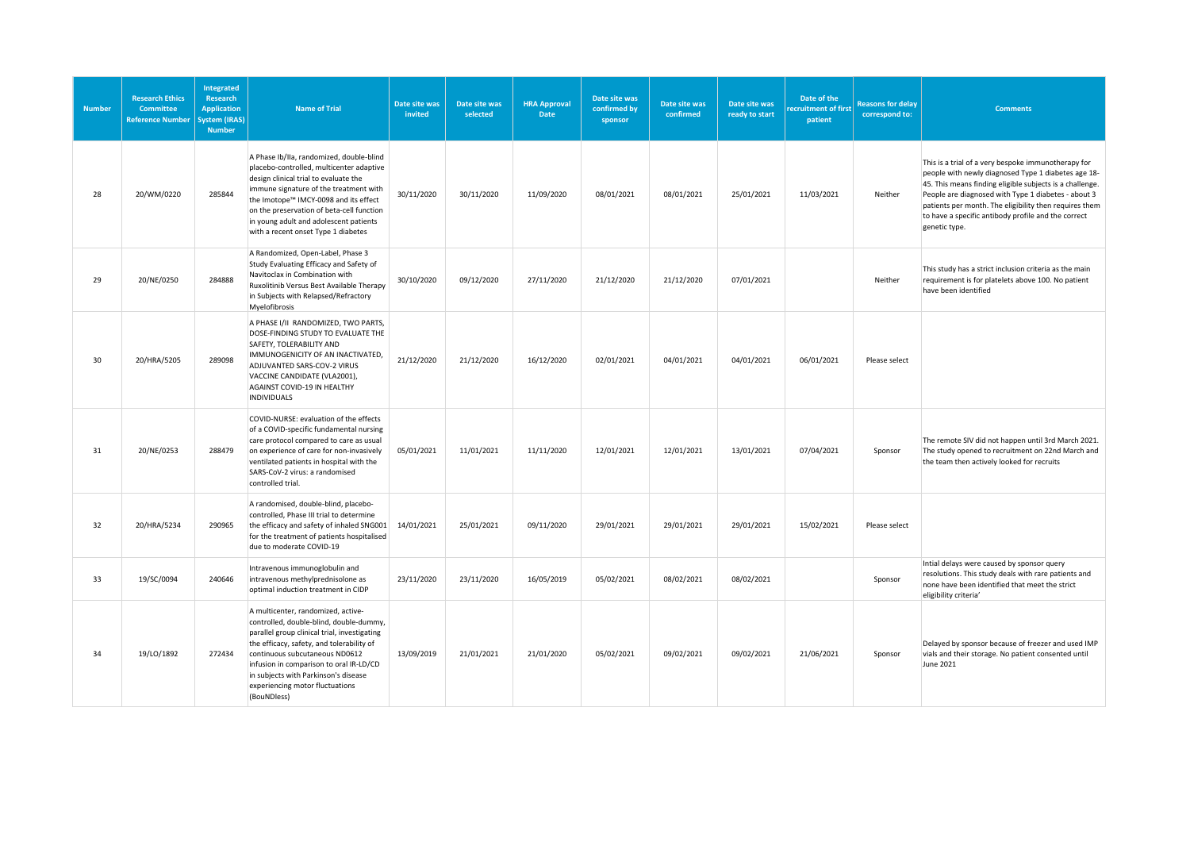| <b>Number</b> | <b>Research Ethics</b><br>Committee<br><b>Reference Number</b> | Integrated<br>Research<br><b>Application</b><br>System (IRAS)<br><b>Number</b> | <b>Name of Trial</b>                                                                                                                                                                                                                                                                                                                              | Date site was<br>invited | Date site was<br>selected | <b>HRA Approval</b><br>Date | Date site was<br>confirmed by<br>sponsor | Date site was<br>confirmed | Date site was<br>ready to start | Date of the<br>ecruitment of first<br>patient | <b>Reasons for delay</b><br>correspond to: | <b>Comments</b>                                                                                                                                                                                                                                                                                                                                                 |
|---------------|----------------------------------------------------------------|--------------------------------------------------------------------------------|---------------------------------------------------------------------------------------------------------------------------------------------------------------------------------------------------------------------------------------------------------------------------------------------------------------------------------------------------|--------------------------|---------------------------|-----------------------------|------------------------------------------|----------------------------|---------------------------------|-----------------------------------------------|--------------------------------------------|-----------------------------------------------------------------------------------------------------------------------------------------------------------------------------------------------------------------------------------------------------------------------------------------------------------------------------------------------------------------|
| 28            | 20/WM/0220                                                     | 285844                                                                         | A Phase Ib/IIa, randomized, double-blind<br>placebo-controlled, multicenter adaptive<br>design clinical trial to evaluate the<br>immune signature of the treatment with<br>the Imotope™ IMCY-0098 and its effect<br>on the preservation of beta-cell function<br>in young adult and adolescent patients<br>with a recent onset Type 1 diabetes    | 30/11/2020               | 30/11/2020                | 11/09/2020                  | 08/01/2021                               | 08/01/2021                 | 25/01/2021                      | 11/03/2021                                    | Neither                                    | This is a trial of a very bespoke immunotherapy for<br>people with newly diagnosed Type 1 diabetes age 18-<br>45. This means finding eligible subjects is a challenge.<br>People are diagnosed with Type 1 diabetes - about 3<br>patients per month. The eligibility then requires them<br>to have a specific antibody profile and the correct<br>genetic type. |
| 29            | 20/NE/0250                                                     | 284888                                                                         | A Randomized, Open-Label, Phase 3<br>Study Evaluating Efficacy and Safety of<br>Navitoclax in Combination with<br>Ruxolitinib Versus Best Available Therapy<br>in Subjects with Relapsed/Refractory<br>Myelofibrosis                                                                                                                              | 30/10/2020               | 09/12/2020                | 27/11/2020                  | 21/12/2020                               | 21/12/2020                 | 07/01/2021                      |                                               | Neither                                    | This study has a strict inclusion criteria as the main<br>requirement is for platelets above 100. No patient<br>have been identified                                                                                                                                                                                                                            |
| 30            | 20/HRA/5205                                                    | 289098                                                                         | A PHASE I/II RANDOMIZED, TWO PARTS,<br>DOSE-FINDING STUDY TO EVALUATE THE<br>SAFETY, TOLERABILITY AND<br>IMMUNOGENICITY OF AN INACTIVATED,<br>ADJUVANTED SARS-COV-2 VIRUS<br>VACCINE CANDIDATE (VLA2001),<br>AGAINST COVID-19 IN HEALTHY<br><b>INDIVIDUALS</b>                                                                                    | 21/12/2020               | 21/12/2020                | 16/12/2020                  | 02/01/2021                               | 04/01/2021                 | 04/01/2021                      | 06/01/2021                                    | Please select                              |                                                                                                                                                                                                                                                                                                                                                                 |
| 31            | 20/NE/0253                                                     | 288479                                                                         | COVID-NURSE: evaluation of the effects<br>of a COVID-specific fundamental nursing<br>care protocol compared to care as usual<br>on experience of care for non-invasively<br>ventilated patients in hospital with the<br>SARS-CoV-2 virus: a randomised<br>controlled trial.                                                                       | 05/01/2021               | 11/01/2021                | 11/11/2020                  | 12/01/2021                               | 12/01/2021                 | 13/01/2021                      | 07/04/2021                                    | Sponsor                                    | The remote SIV did not happen until 3rd March 2021.<br>The study opened to recruitment on 22nd March and<br>the team then actively looked for recruits                                                                                                                                                                                                          |
| 32            | 20/HRA/5234                                                    | 290965                                                                         | A randomised, double-blind, placebo-<br>controlled, Phase III trial to determine<br>the efficacy and safety of inhaled SNG001<br>for the treatment of patients hospitalised<br>due to moderate COVID-19                                                                                                                                           | 14/01/2021               | 25/01/2021                | 09/11/2020                  | 29/01/2021                               | 29/01/2021                 | 29/01/2021                      | 15/02/2021                                    | Please select                              |                                                                                                                                                                                                                                                                                                                                                                 |
| 33            | 19/SC/0094                                                     | 240646                                                                         | Intravenous immunoglobulin and<br>intravenous methylprednisolone as<br>optimal induction treatment in CIDP                                                                                                                                                                                                                                        | 23/11/2020               | 23/11/2020                | 16/05/2019                  | 05/02/2021                               | 08/02/2021                 | 08/02/2021                      |                                               | Sponsor                                    | Intial delays were caused by sponsor query<br>resolutions. This study deals with rare patients and<br>none have been identified that meet the strict<br>eligibility criteria'                                                                                                                                                                                   |
| 34            | 19/LO/1892                                                     | 272434                                                                         | A multicenter, randomized, active-<br>controlled, double-blind, double-dummy,<br>parallel group clinical trial, investigating<br>the efficacy, safety, and tolerability of<br>continuous subcutaneous ND0612<br>infusion in comparison to oral IR-LD/CD<br>in subjects with Parkinson's disease<br>experiencing motor fluctuations<br>(BouNDless) | 13/09/2019               | 21/01/2021                | 21/01/2020                  | 05/02/2021                               | 09/02/2021                 | 09/02/2021                      | 21/06/2021                                    | Sponsor                                    | Delayed by sponsor because of freezer and used IMP<br>vials and their storage. No patient consented until<br>June 2021                                                                                                                                                                                                                                          |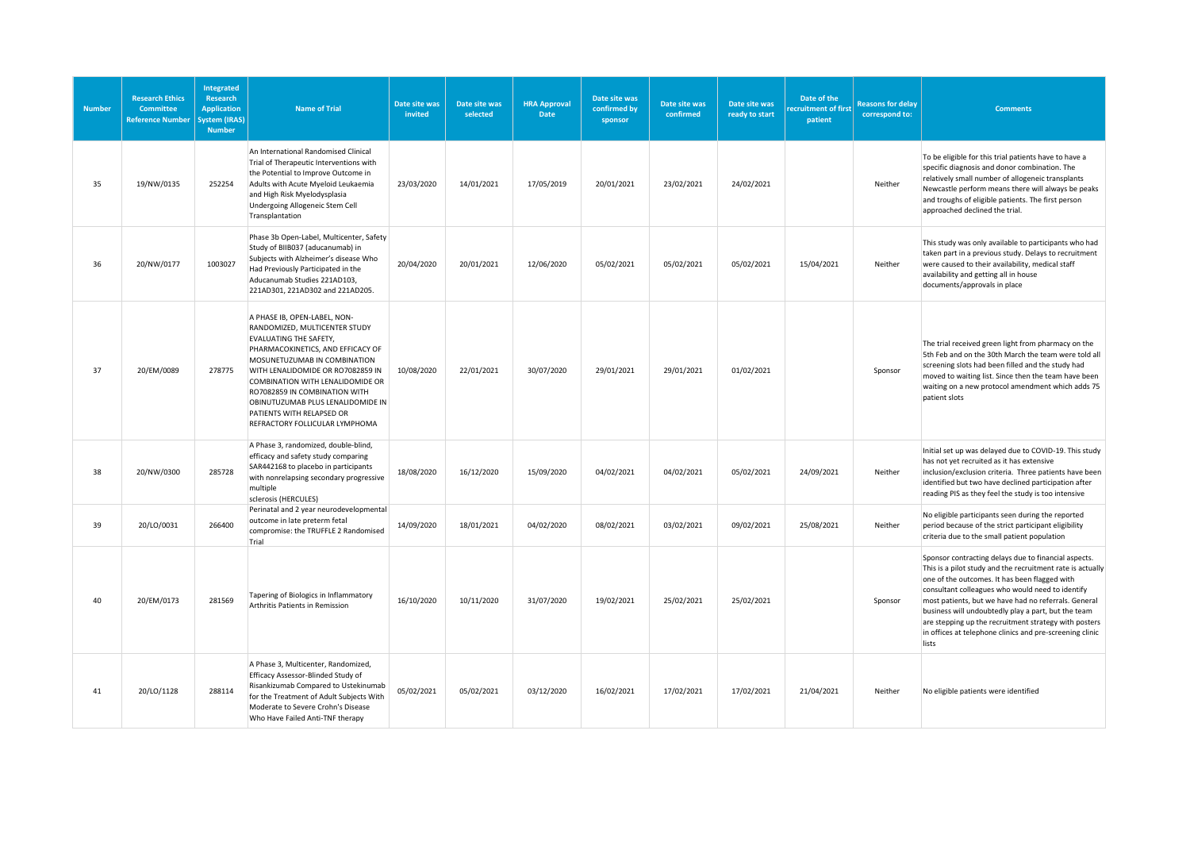| <b>Number</b> | <b>Research Ethics</b><br>Committee<br><b>Reference Number</b> | <b>Integrated</b><br><b>Research</b><br><b>Application</b><br>ystem (IRAS)<br><b>Number</b> | <b>Name of Trial</b>                                                                                                                                                                                                                                                                                                                                                              | Date site was<br>invited | Date site was<br>selected | <b>HRA Approval</b><br>Date | Date site was<br>confirmed by<br>sponsor | Date site was<br>confirmed | Date site was<br>ready to start | Date of the<br>ecruitment of first<br>patient | <b>Reasons for delay</b><br>correspond to: | <b>Comments</b>                                                                                                                                                                                                                                                                                                                                                                                                                                                      |
|---------------|----------------------------------------------------------------|---------------------------------------------------------------------------------------------|-----------------------------------------------------------------------------------------------------------------------------------------------------------------------------------------------------------------------------------------------------------------------------------------------------------------------------------------------------------------------------------|--------------------------|---------------------------|-----------------------------|------------------------------------------|----------------------------|---------------------------------|-----------------------------------------------|--------------------------------------------|----------------------------------------------------------------------------------------------------------------------------------------------------------------------------------------------------------------------------------------------------------------------------------------------------------------------------------------------------------------------------------------------------------------------------------------------------------------------|
| 35            | 19/NW/0135                                                     | 252254                                                                                      | An International Randomised Clinical<br>Trial of Therapeutic Interventions with<br>the Potential to Improve Outcome in<br>Adults with Acute Myeloid Leukaemia<br>and High Risk Myelodysplasia<br>Undergoing Allogeneic Stem Cell<br>Transplantation                                                                                                                               | 23/03/2020               | 14/01/2021                | 17/05/2019                  | 20/01/2021                               | 23/02/2021                 | 24/02/2021                      |                                               | Neither                                    | To be eligible for this trial patients have to have a<br>specific diagnosis and donor combination. The<br>relatively small number of allogeneic transplants<br>Newcastle perform means there will always be peaks<br>and troughs of eligible patients. The first person<br>approached declined the trial.                                                                                                                                                            |
| 36            | 20/NW/0177                                                     | 1003027                                                                                     | Phase 3b Open-Label, Multicenter, Safety<br>Study of BIIB037 (aducanumab) in<br>Subjects with Alzheimer's disease Who<br>Had Previously Participated in the<br>Aducanumab Studies 221AD103,<br>221AD301, 221AD302 and 221AD205.                                                                                                                                                   | 20/04/2020               | 20/01/2021                | 12/06/2020                  | 05/02/2021                               | 05/02/2021                 | 05/02/2021                      | 15/04/2021                                    | Neither                                    | This study was only available to participants who had<br>taken part in a previous study. Delays to recruitment<br>were caused to their availability, medical staff<br>availability and getting all in house<br>documents/approvals in place                                                                                                                                                                                                                          |
| 37            | 20/EM/0089                                                     | 278775                                                                                      | A PHASE IB, OPEN-LABEL, NON-<br>RANDOMIZED, MULTICENTER STUDY<br><b>EVALUATING THE SAFETY,</b><br>PHARMACOKINETICS, AND EFFICACY OF<br>MOSUNETUZUMAB IN COMBINATION<br>WITH LENALIDOMIDE OR RO7082859 IN<br>COMBINATION WITH LENALIDOMIDE OR<br>RO7082859 IN COMBINATION WITH<br>OBINUTUZUMAB PLUS LENALIDOMIDE IN<br>PATIENTS WITH RELAPSED OR<br>REFRACTORY FOLLICULAR LYMPHOMA | 10/08/2020               | 22/01/2021                | 30/07/2020                  | 29/01/2021                               | 29/01/2021                 | 01/02/2021                      |                                               | Sponsor                                    | The trial received green light from pharmacy on the<br>5th Feb and on the 30th March the team were told all<br>screening slots had been filled and the study had<br>moved to waiting list. Since then the team have been<br>waiting on a new protocol amendment which adds 75<br>patient slots                                                                                                                                                                       |
| 38            | 20/NW/0300                                                     | 285728                                                                                      | A Phase 3, randomized, double-blind,<br>efficacy and safety study comparing<br>SAR442168 to placebo in participants<br>with nonrelapsing secondary progressive<br>multiple<br>sclerosis (HERCULES)                                                                                                                                                                                | 18/08/2020               | 16/12/2020                | 15/09/2020                  | 04/02/2021                               | 04/02/2021                 | 05/02/2021                      | 24/09/2021                                    | Neither                                    | Initial set up was delayed due to COVID-19. This study<br>has not yet recruited as it has extensive<br>inclusion/exclusion criteria. Three patients have been<br>identified but two have declined participation after<br>reading PIS as they feel the study is too intensive                                                                                                                                                                                         |
| 39            | 20/LO/0031                                                     | 266400                                                                                      | Perinatal and 2 year neurodevelopmental<br>outcome in late preterm fetal<br>compromise: the TRUFFLE 2 Randomised<br>Trial                                                                                                                                                                                                                                                         | 14/09/2020               | 18/01/2021                | 04/02/2020                  | 08/02/2021                               | 03/02/2021                 | 09/02/2021                      | 25/08/2021                                    | Neither                                    | No eligible participants seen during the reported<br>period because of the strict participant eligibility<br>criteria due to the small patient population                                                                                                                                                                                                                                                                                                            |
| 40            | 20/EM/0173                                                     | 281569                                                                                      | Tapering of Biologics in Inflammatory<br>Arthritis Patients in Remission                                                                                                                                                                                                                                                                                                          | 16/10/2020               | 10/11/2020                | 31/07/2020                  | 19/02/2021                               | 25/02/2021                 | 25/02/2021                      |                                               | Sponsor                                    | Sponsor contracting delays due to financial aspects.<br>This is a pilot study and the recruitment rate is actually<br>one of the outcomes. It has been flagged with<br>consultant colleagues who would need to identify<br>most patients, but we have had no referrals. General<br>business will undoubtedly play a part, but the team<br>are stepping up the recruitment strategy with posters<br>in offices at telephone clinics and pre-screening clinic<br>lists |
| 41            | 20/LO/1128                                                     | 288114                                                                                      | A Phase 3, Multicenter, Randomized,<br>Efficacy Assessor-Blinded Study of<br>Risankizumab Compared to Ustekinumab<br>for the Treatment of Adult Subjects With<br>Moderate to Severe Crohn's Disease<br>Who Have Failed Anti-TNF therapy                                                                                                                                           | 05/02/2021               | 05/02/2021                | 03/12/2020                  | 16/02/2021                               | 17/02/2021                 | 17/02/2021                      | 21/04/2021                                    | Neither                                    | No eligible patients were identified                                                                                                                                                                                                                                                                                                                                                                                                                                 |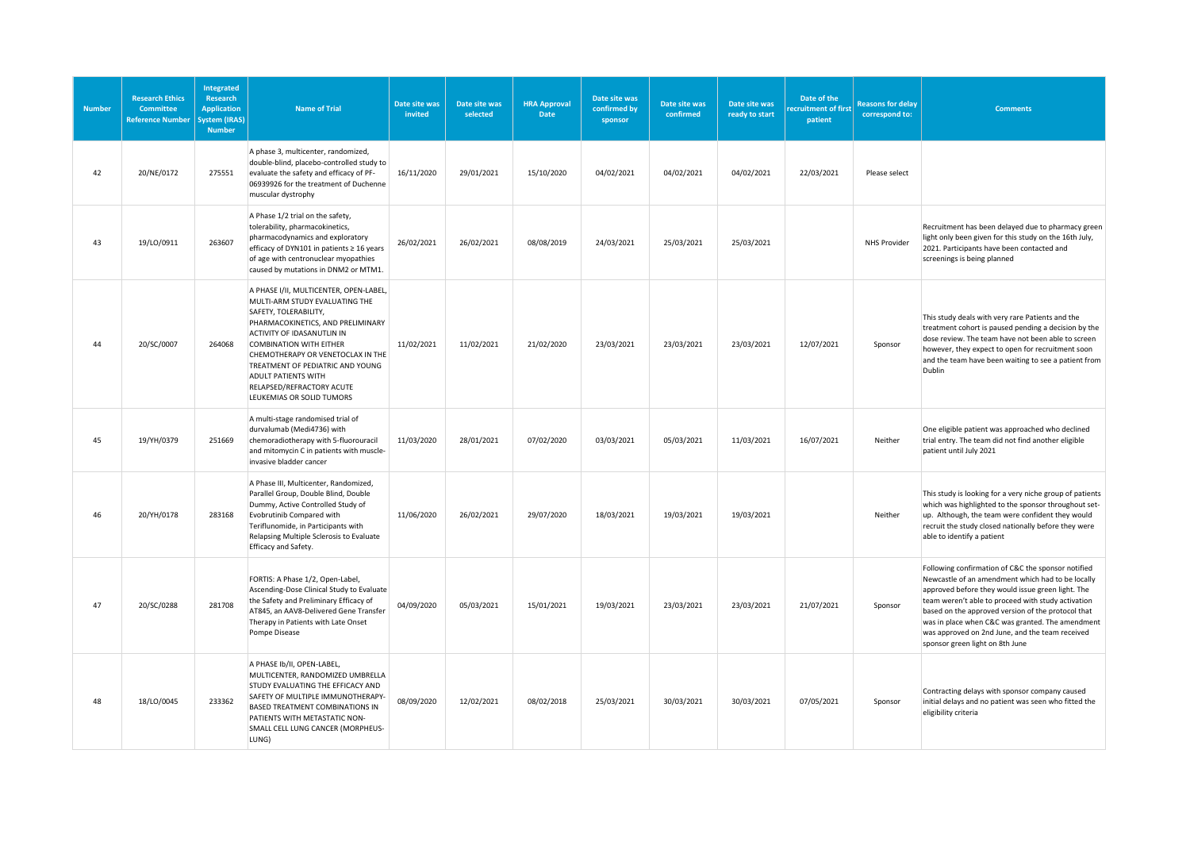| <b>Number</b> | <b>Research Ethics</b><br>Committee<br><b>Reference Number</b> | Integrated<br><b>Research</b><br><b>Application</b><br>System (IRAS)<br><b>Number</b> | <b>Name of Trial</b>                                                                                                                                                                                                                                                                                                                                                    | Date site was<br>invited | Date site was<br>selected | <b>HRA Approval</b><br>Date | Date site was<br>confirmed by<br>sponsor | Date site was<br>confirmed | Date site was<br>ready to start | Date of the<br><b>cruitment of first</b><br>patient | <b>Reasons for delay</b><br>correspond to: | <b>Comments</b>                                                                                                                                                                                                                                                                                                                                                                                                    |
|---------------|----------------------------------------------------------------|---------------------------------------------------------------------------------------|-------------------------------------------------------------------------------------------------------------------------------------------------------------------------------------------------------------------------------------------------------------------------------------------------------------------------------------------------------------------------|--------------------------|---------------------------|-----------------------------|------------------------------------------|----------------------------|---------------------------------|-----------------------------------------------------|--------------------------------------------|--------------------------------------------------------------------------------------------------------------------------------------------------------------------------------------------------------------------------------------------------------------------------------------------------------------------------------------------------------------------------------------------------------------------|
| 42            | 20/NE/0172                                                     | 275551                                                                                | A phase 3, multicenter, randomized,<br>double-blind, placebo-controlled study to<br>evaluate the safety and efficacy of PF-<br>06939926 for the treatment of Duchenne<br>muscular dystrophy                                                                                                                                                                             | 16/11/2020               | 29/01/2021                | 15/10/2020                  | 04/02/2021                               | 04/02/2021                 | 04/02/2021                      | 22/03/2021                                          | Please select                              |                                                                                                                                                                                                                                                                                                                                                                                                                    |
| 43            | 19/LO/0911                                                     | 263607                                                                                | A Phase 1/2 trial on the safety,<br>tolerability, pharmacokinetics,<br>pharmacodynamics and exploratory<br>efficacy of DYN101 in patients ≥ 16 years<br>of age with centronuclear myopathies<br>caused by mutations in DNM2 or MTM1.                                                                                                                                    | 26/02/2021               | 26/02/2021                | 08/08/2019                  | 24/03/2021                               | 25/03/2021                 | 25/03/2021                      |                                                     | NHS Provider                               | Recruitment has been delayed due to pharmacy green<br>light only been given for this study on the 16th July,<br>2021. Participants have been contacted and<br>screenings is being planned                                                                                                                                                                                                                          |
| 44            | 20/SC/0007                                                     | 264068                                                                                | A PHASE I/II, MULTICENTER, OPEN-LABEL,<br>MULTI-ARM STUDY EVALUATING THE<br>SAFETY, TOLERABILITY,<br>PHARMACOKINETICS, AND PRELIMINARY<br>ACTIVITY OF IDASANUTLIN IN<br><b>COMBINATION WITH EITHER</b><br>CHEMOTHERAPY OR VENETOCLAX IN THE<br>TREATMENT OF PEDIATRIC AND YOUNG<br><b>ADULT PATIENTS WITH</b><br>RELAPSED/REFRACTORY ACUTE<br>LEUKEMIAS OR SOLID TUMORS | 11/02/2021               | 11/02/2021                | 21/02/2020                  | 23/03/2021                               | 23/03/2021                 | 23/03/2021                      | 12/07/2021                                          | Sponsor                                    | This study deals with very rare Patients and the<br>treatment cohort is paused pending a decision by the<br>dose review. The team have not been able to screen<br>however, they expect to open for recruitment soon<br>and the team have been waiting to see a patient from<br>Dublin                                                                                                                              |
| 45            | 19/YH/0379                                                     | 251669                                                                                | A multi-stage randomised trial of<br>durvalumab (Medi4736) with<br>chemoradiotherapy with 5-fluorouracil<br>and mitomycin C in patients with muscle-<br>invasive bladder cancer                                                                                                                                                                                         | 11/03/2020               | 28/01/2021                | 07/02/2020                  | 03/03/2021                               | 05/03/2021                 | 11/03/2021                      | 16/07/2021                                          | Neither                                    | One eligible patient was approached who declined<br>trial entry. The team did not find another eligible<br>patient until July 2021                                                                                                                                                                                                                                                                                 |
| 46            | 20/YH/0178                                                     | 283168                                                                                | A Phase III, Multicenter, Randomized,<br>Parallel Group, Double Blind, Double<br>Dummy, Active Controlled Study of<br>Evobrutinib Compared with<br>Teriflunomide, in Participants with<br>Relapsing Multiple Sclerosis to Evaluate<br>Efficacy and Safety.                                                                                                              | 11/06/2020               | 26/02/2021                | 29/07/2020                  | 18/03/2021                               | 19/03/2021                 | 19/03/2021                      |                                                     | Neither                                    | This study is looking for a very niche group of patients<br>which was highlighted to the sponsor throughout set-<br>up. Although, the team were confident they would<br>recruit the study closed nationally before they were<br>able to identify a patient                                                                                                                                                         |
| 47            | 20/SC/0288                                                     | 281708                                                                                | FORTIS: A Phase 1/2, Open-Label,<br>Ascending-Dose Clinical Study to Evaluate<br>the Safety and Preliminary Efficacy of<br>AT845, an AAV8-Delivered Gene Transfer<br>Therapy in Patients with Late Onset<br>Pompe Disease                                                                                                                                               | 04/09/2020               | 05/03/2021                | 15/01/2021                  | 19/03/2021                               | 23/03/2021                 | 23/03/2021                      | 21/07/2021                                          | Sponsor                                    | Following confirmation of C&C the sponsor notified<br>Newcastle of an amendment which had to be locally<br>approved before they would issue green light. The<br>team weren't able to proceed with study activation<br>based on the approved version of the protocol that<br>was in place when C&C was granted. The amendment<br>was approved on 2nd June, and the team received<br>sponsor green light on 8th June |
| 48            | 18/LO/0045                                                     | 233362                                                                                | A PHASE Ib/II, OPEN-LABEL,<br>MULTICENTER, RANDOMIZED UMBRELLA<br>STUDY EVALUATING THE EFFICACY AND<br>SAFETY OF MULTIPLE IMMUNOTHERAPY-<br><b>BASED TREATMENT COMBINATIONS IN</b><br>PATIENTS WITH METASTATIC NON-<br>SMALL CELL LUNG CANCER (MORPHEUS-<br>LUNG)                                                                                                       | 08/09/2020               | 12/02/2021                | 08/02/2018                  | 25/03/2021                               | 30/03/2021                 | 30/03/2021                      | 07/05/2021                                          | Sponsor                                    | Contracting delays with sponsor company caused<br>initial delays and no patient was seen who fitted the<br>eligibility criteria                                                                                                                                                                                                                                                                                    |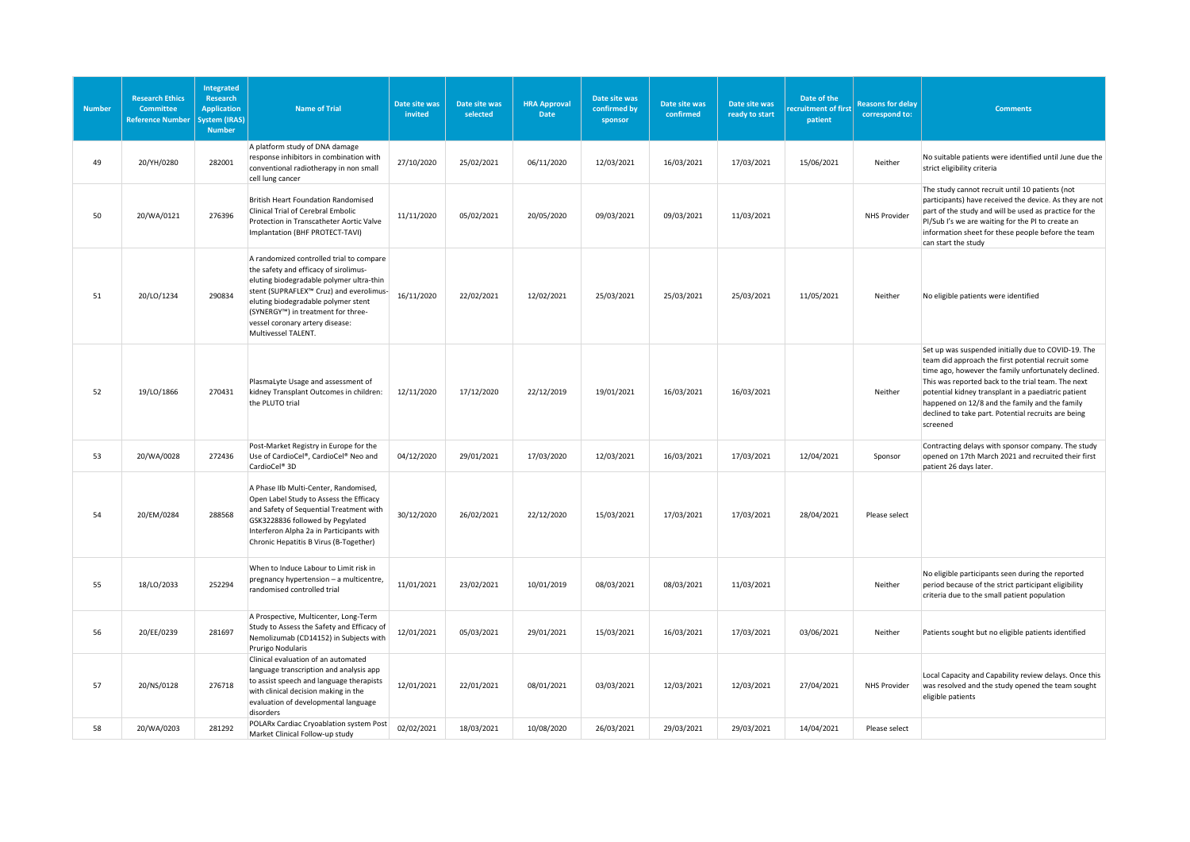| <b>Number</b> | <b>Research Ethics</b><br>Committee<br><b>Reference Number</b> | Integrated<br><b>Research</b><br><b>Application</b><br>vstem (IRAS)<br><b>Number</b> | <b>Name of Trial</b>                                                                                                                                                                                                                                                                                            | Date site was<br>invited | Date site was<br>selected | <b>HRA Approval</b><br>Date | Date site was<br>confirmed by<br>sponsor | Date site was<br>confirmed | Date site was<br>ready to start | Date of the<br>ecruitment of first<br>patient | <b>Reasons for delay</b><br>correspond to: | <b>Comments</b>                                                                                                                                                                                                                                                                                                                                                                                     |
|---------------|----------------------------------------------------------------|--------------------------------------------------------------------------------------|-----------------------------------------------------------------------------------------------------------------------------------------------------------------------------------------------------------------------------------------------------------------------------------------------------------------|--------------------------|---------------------------|-----------------------------|------------------------------------------|----------------------------|---------------------------------|-----------------------------------------------|--------------------------------------------|-----------------------------------------------------------------------------------------------------------------------------------------------------------------------------------------------------------------------------------------------------------------------------------------------------------------------------------------------------------------------------------------------------|
| 49            | 20/YH/0280                                                     | 282001                                                                               | A platform study of DNA damage<br>response inhibitors in combination with<br>conventional radiotherapy in non small<br>cell lung cancer                                                                                                                                                                         | 27/10/2020               | 25/02/2021                | 06/11/2020                  | 12/03/2021                               | 16/03/2021                 | 17/03/2021                      | 15/06/2021                                    | Neither                                    | No suitable patients were identified until June due the<br>strict eligibility criteria                                                                                                                                                                                                                                                                                                              |
| 50            | 20/WA/0121                                                     | 276396                                                                               | <b>British Heart Foundation Randomised</b><br>Clinical Trial of Cerebral Embolic<br>Protection in Transcatheter Aortic Valve<br>Implantation (BHF PROTECT-TAVI)                                                                                                                                                 | 11/11/2020               | 05/02/2021                | 20/05/2020                  | 09/03/2021                               | 09/03/2021                 | 11/03/2021                      |                                               | <b>NHS Provider</b>                        | The study cannot recruit until 10 patients (not<br>participants) have received the device. As they are not<br>part of the study and will be used as practice for the<br>PI/Sub I's we are waiting for the PI to create an<br>information sheet for these people before the team<br>can start the study                                                                                              |
| 51            | 20/LO/1234                                                     | 290834                                                                               | A randomized controlled trial to compare<br>the safety and efficacy of sirolimus-<br>eluting biodegradable polymer ultra-thin<br>stent (SUPRAFLEX™ Cruz) and everolimus-<br>eluting biodegradable polymer stent<br>(SYNERGY™) in treatment for three-<br>vessel coronary artery disease:<br>Multivessel TALENT. | 16/11/2020               | 22/02/2021                | 12/02/2021                  | 25/03/2021                               | 25/03/2021                 | 25/03/2021                      | 11/05/2021                                    | Neither                                    | No eligible patients were identified                                                                                                                                                                                                                                                                                                                                                                |
| 52            | 19/LO/1866                                                     | 270431                                                                               | PlasmaLyte Usage and assessment of<br>kidney Transplant Outcomes in children:<br>the PLUTO trial                                                                                                                                                                                                                | 12/11/2020               | 17/12/2020                | 22/12/2019                  | 19/01/2021                               | 16/03/2021                 | 16/03/2021                      |                                               | Neither                                    | Set up was suspended initially due to COVID-19. The<br>team did approach the first potential recruit some<br>time ago, however the family unfortunately declined.<br>This was reported back to the trial team. The next<br>potential kidney transplant in a paediatric patient<br>happened on 12/8 and the family and the family<br>declined to take part. Potential recruits are being<br>screened |
| 53            | 20/WA/0028                                                     | 272436                                                                               | Post-Market Registry in Europe for the<br>Use of CardioCel®, CardioCel® Neo and<br>CardioCel <sup>®</sup> 3D                                                                                                                                                                                                    | 04/12/2020               | 29/01/2021                | 17/03/2020                  | 12/03/2021                               | 16/03/2021                 | 17/03/2021                      | 12/04/2021                                    | Sponsor                                    | Contracting delays with sponsor company. The study<br>opened on 17th March 2021 and recruited their first<br>patient 26 days later.                                                                                                                                                                                                                                                                 |
| 54            | 20/EM/0284                                                     | 288568                                                                               | A Phase IIb Multi-Center, Randomised,<br>Open Label Study to Assess the Efficacy<br>and Safety of Sequential Treatment with<br>GSK3228836 followed by Pegylated<br>Interferon Alpha 2a in Participants with<br>Chronic Hepatitis B Virus (B-Together)                                                           | 30/12/2020               | 26/02/2021                | 22/12/2020                  | 15/03/2021                               | 17/03/2021                 | 17/03/2021                      | 28/04/2021                                    | Please select                              |                                                                                                                                                                                                                                                                                                                                                                                                     |
| 55            | 18/LO/2033                                                     | 252294                                                                               | When to Induce Labour to Limit risk in<br>pregnancy hypertension - a multicentre,<br>randomised controlled trial                                                                                                                                                                                                | 11/01/2021               | 23/02/2021                | 10/01/2019                  | 08/03/2021                               | 08/03/2021                 | 11/03/2021                      |                                               | Neither                                    | No eligible participants seen during the reported<br>period because of the strict participant eligibility<br>criteria due to the small patient population                                                                                                                                                                                                                                           |
| 56            | 20/EE/0239                                                     | 281697                                                                               | A Prospective, Multicenter, Long-Term<br>Study to Assess the Safety and Efficacy of<br>Nemolizumab (CD14152) in Subjects with<br>Prurigo Nodularis                                                                                                                                                              | 12/01/2021               | 05/03/2021                | 29/01/2021                  | 15/03/2021                               | 16/03/2021                 | 17/03/2021                      | 03/06/2021                                    | Neither                                    | Patients sought but no eligible patients identified                                                                                                                                                                                                                                                                                                                                                 |
| 57            | 20/NS/0128                                                     | 276718                                                                               | Clinical evaluation of an automated<br>language transcription and analysis app<br>to assist speech and language therapists<br>with clinical decision making in the<br>evaluation of developmental language<br>disorders                                                                                         | 12/01/2021               | 22/01/2021                | 08/01/2021                  | 03/03/2021                               | 12/03/2021                 | 12/03/2021                      | 27/04/2021                                    | <b>NHS Provider</b>                        | Local Capacity and Capability review delays. Once this<br>was resolved and the study opened the team sought<br>eligible patients                                                                                                                                                                                                                                                                    |
| 58            | 20/WA/0203                                                     | 281292                                                                               | POLARx Cardiac Cryoablation system Post<br>Market Clinical Follow-up study                                                                                                                                                                                                                                      | 02/02/2021               | 18/03/2021                | 10/08/2020                  | 26/03/2021                               | 29/03/2021                 | 29/03/2021                      | 14/04/2021                                    | Please select                              |                                                                                                                                                                                                                                                                                                                                                                                                     |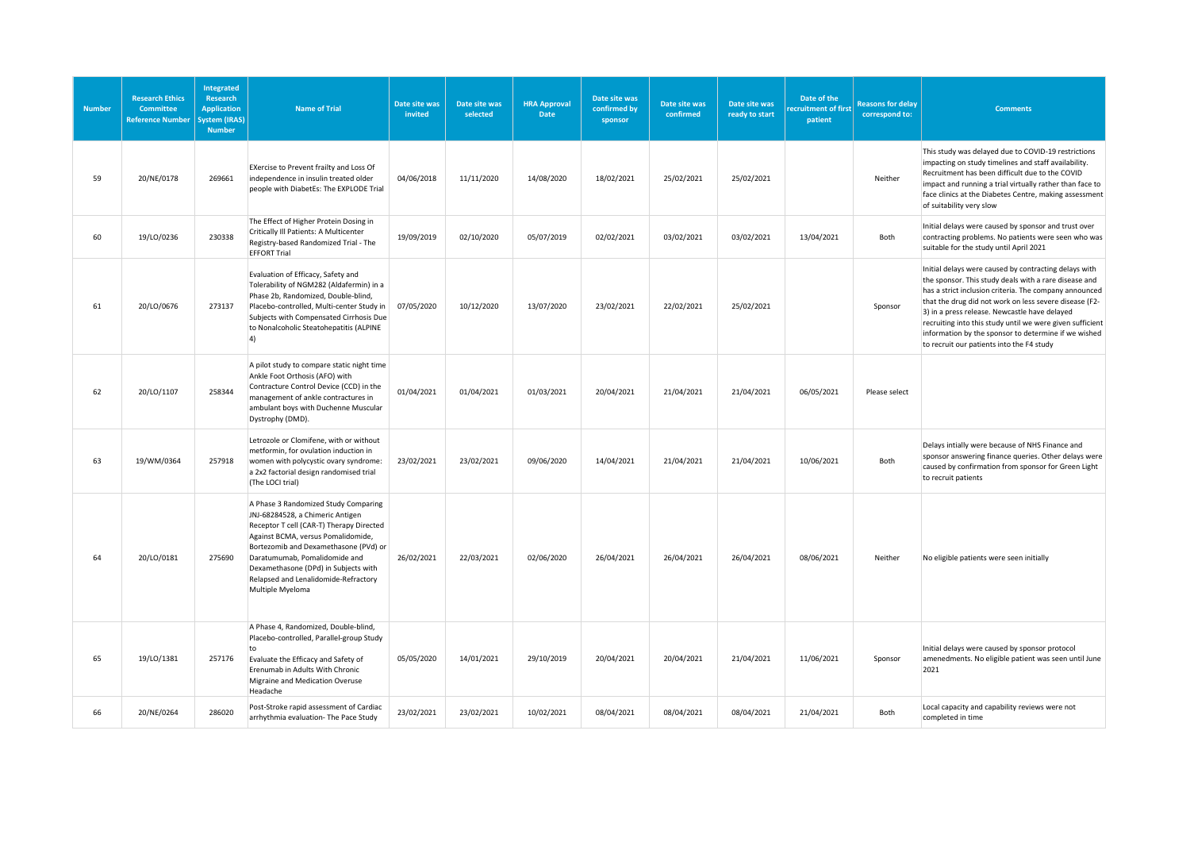| <b>Number</b> | <b>Research Ethics</b><br><b>Committee</b><br><b>Reference Number</b> | <b>Integrated</b><br>Research<br><b>Application</b><br>ystem (IRAS)<br><b>Number</b> | <b>Name of Trial</b>                                                                                                                                                                                                                                                                                                                     | Date site was<br>invited | Date site was<br>selected | <b>HRA Approval</b><br><b>Date</b> | Date site was<br>confirmed by<br>sponsor | Date site was<br>confirmed | Date site was<br>ready to start | Date of the<br>recruitment of first<br>patient | <b>Reasons for delay</b><br>correspond to: | <b>Comments</b>                                                                                                                                                                                                                                                                                                                                                                                                                                       |
|---------------|-----------------------------------------------------------------------|--------------------------------------------------------------------------------------|------------------------------------------------------------------------------------------------------------------------------------------------------------------------------------------------------------------------------------------------------------------------------------------------------------------------------------------|--------------------------|---------------------------|------------------------------------|------------------------------------------|----------------------------|---------------------------------|------------------------------------------------|--------------------------------------------|-------------------------------------------------------------------------------------------------------------------------------------------------------------------------------------------------------------------------------------------------------------------------------------------------------------------------------------------------------------------------------------------------------------------------------------------------------|
| 59            | 20/NE/0178                                                            | 269661                                                                               | EXercise to Prevent frailty and Loss Of<br>independence in insulin treated older<br>people with DiabetEs: The EXPLODE Trial                                                                                                                                                                                                              | 04/06/2018               | 11/11/2020                | 14/08/2020                         | 18/02/2021                               | 25/02/2021                 | 25/02/2021                      |                                                | Neither                                    | This study was delayed due to COVID-19 restrictions<br>impacting on study timelines and staff availability.<br>Recruitment has been difficult due to the COVID<br>impact and running a trial virtually rather than face to<br>face clinics at the Diabetes Centre, making assessment<br>of suitability very slow                                                                                                                                      |
| 60            | 19/LO/0236                                                            | 230338                                                                               | The Effect of Higher Protein Dosing in<br>Critically III Patients: A Multicenter<br>Registry-based Randomized Trial - The<br><b>EFFORT Trial</b>                                                                                                                                                                                         | 19/09/2019               | 02/10/2020                | 05/07/2019                         | 02/02/2021                               | 03/02/2021                 | 03/02/2021                      | 13/04/2021                                     | Both                                       | Initial delays were caused by sponsor and trust over<br>contracting problems. No patients were seen who was<br>suitable for the study until April 2021                                                                                                                                                                                                                                                                                                |
| 61            | 20/LO/0676                                                            | 273137                                                                               | Evaluation of Efficacy, Safety and<br>Tolerability of NGM282 (Aldafermin) in a<br>Phase 2b, Randomized, Double-blind,<br>Placebo-controlled, Multi-center Study in<br>Subjects with Compensated Cirrhosis Due<br>to Nonalcoholic Steatohepatitis (ALPINE<br>4)                                                                           | 07/05/2020               | 10/12/2020                | 13/07/2020                         | 23/02/2021                               | 22/02/2021                 | 25/02/2021                      |                                                | Sponsor                                    | Initial delays were caused by contracting delays with<br>the sponsor. This study deals with a rare disease and<br>has a strict inclusion criteria. The company announced<br>that the drug did not work on less severe disease (F2-<br>3) in a press release. Newcastle have delayed<br>recruiting into this study until we were given sufficient<br>information by the sponsor to determine if we wished<br>to recruit our patients into the F4 study |
| 62            | 20/LO/1107                                                            | 258344                                                                               | A pilot study to compare static night time<br>Ankle Foot Orthosis (AFO) with<br>Contracture Control Device (CCD) in the<br>management of ankle contractures in<br>ambulant boys with Duchenne Muscular<br>Dystrophy (DMD).                                                                                                               | 01/04/2021               | 01/04/2021                | 01/03/2021                         | 20/04/2021                               | 21/04/2021                 | 21/04/2021                      | 06/05/2021                                     | Please select                              |                                                                                                                                                                                                                                                                                                                                                                                                                                                       |
| 63            | 19/WM/0364                                                            | 257918                                                                               | Letrozole or Clomifene, with or without<br>metformin, for ovulation induction in<br>women with polycystic ovary syndrome:<br>a 2x2 factorial design randomised trial<br>(The LOCI trial)                                                                                                                                                 | 23/02/2021               | 23/02/2021                | 09/06/2020                         | 14/04/2021                               | 21/04/2021                 | 21/04/2021                      | 10/06/2021                                     | Both                                       | Delays intially were because of NHS Finance and<br>sponsor answering finance queries. Other delays were<br>caused by confirmation from sponsor for Green Light<br>to recruit patients                                                                                                                                                                                                                                                                 |
| 64            | 20/LO/0181                                                            | 275690                                                                               | A Phase 3 Randomized Study Comparing<br>JNJ-68284528, a Chimeric Antigen<br>Receptor T cell (CAR-T) Therapy Directed<br>Against BCMA, versus Pomalidomide,<br>Bortezomib and Dexamethasone (PVd) or<br>Daratumumab, Pomalidomide and<br>Dexamethasone (DPd) in Subjects with<br>Relapsed and Lenalidomide-Refractory<br>Multiple Myeloma | 26/02/2021               | 22/03/2021                | 02/06/2020                         | 26/04/2021                               | 26/04/2021                 | 26/04/2021                      | 08/06/2021                                     | Neither                                    | No eligible patients were seen initially                                                                                                                                                                                                                                                                                                                                                                                                              |
| 65            | 19/LO/1381                                                            | 257176                                                                               | A Phase 4, Randomized, Double-blind,<br>Placebo-controlled, Parallel-group Study<br>to<br>Evaluate the Efficacy and Safety of<br>Erenumab in Adults With Chronic<br>Migraine and Medication Overuse<br>Headache                                                                                                                          | 05/05/2020               | 14/01/2021                | 29/10/2019                         | 20/04/2021                               | 20/04/2021                 | 21/04/2021                      | 11/06/2021                                     | Sponsor                                    | Initial delays were caused by sponsor protocol<br>amenedments. No eligible patient was seen until June<br>2021                                                                                                                                                                                                                                                                                                                                        |
| 66            | 20/NE/0264                                                            | 286020                                                                               | Post-Stroke rapid assessment of Cardiac<br>arrhythmia evaluation- The Pace Study                                                                                                                                                                                                                                                         | 23/02/2021               | 23/02/2021                | 10/02/2021                         | 08/04/2021                               | 08/04/2021                 | 08/04/2021                      | 21/04/2021                                     | Both                                       | Local capacity and capability reviews were not<br>completed in time                                                                                                                                                                                                                                                                                                                                                                                   |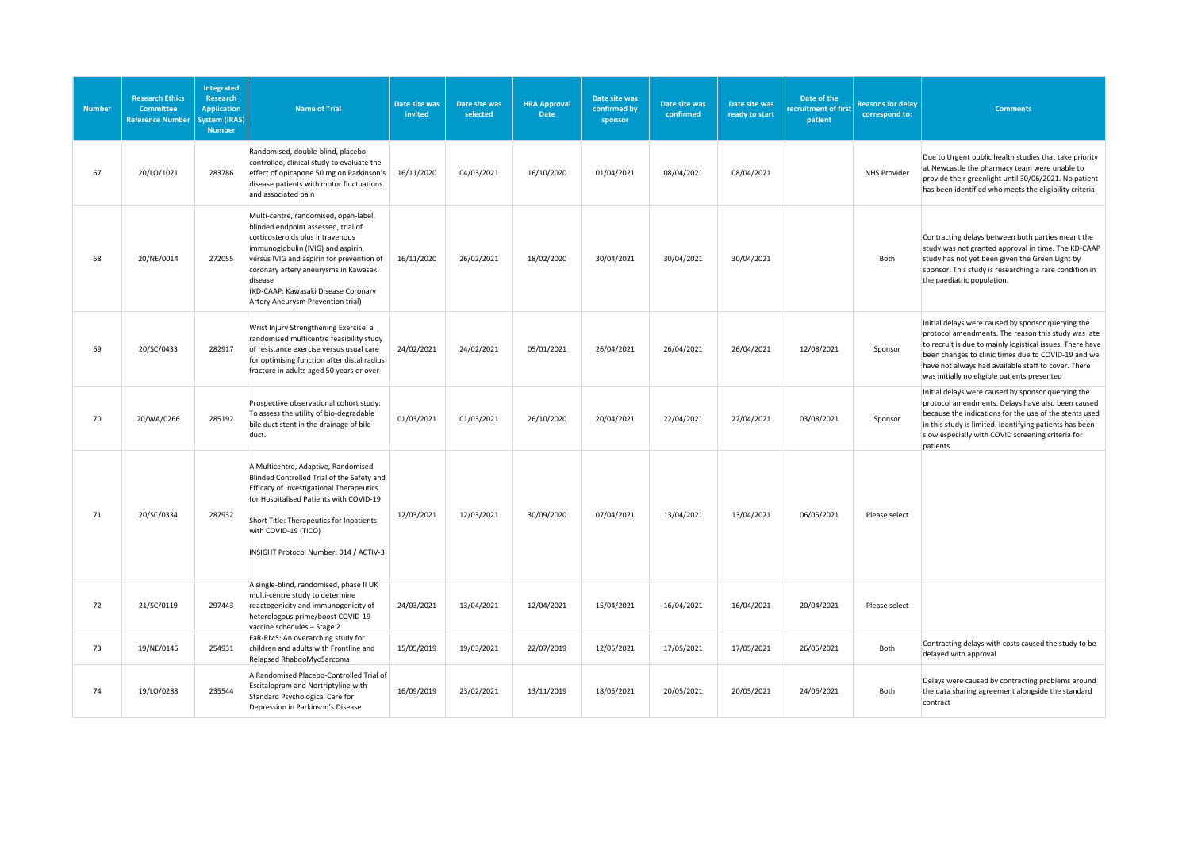| <b>Number</b> | <b>Research Ethics</b><br><b>Committee</b><br><b>Reference Number</b> | Integrated<br>Research<br><b>Application</b><br>System (IRAS)<br><b>Number</b> | <b>Name of Trial</b>                                                                                                                                                                                                                                                                                                                | Date site was<br>invited | Date site was<br>selected | <b>HRA Approval</b><br>Date | Date site was<br>confirmed by<br>sponsor | Date site was<br>confirmed | Date site was<br>ready to start | Date of the<br>ecruitment of first<br>patient | <b>Reasons for delay</b><br>correspond to: | <b>Comments</b>                                                                                                                                                                                                                                                                                                                      |
|---------------|-----------------------------------------------------------------------|--------------------------------------------------------------------------------|-------------------------------------------------------------------------------------------------------------------------------------------------------------------------------------------------------------------------------------------------------------------------------------------------------------------------------------|--------------------------|---------------------------|-----------------------------|------------------------------------------|----------------------------|---------------------------------|-----------------------------------------------|--------------------------------------------|--------------------------------------------------------------------------------------------------------------------------------------------------------------------------------------------------------------------------------------------------------------------------------------------------------------------------------------|
| 67            | 20/LO/1021                                                            | 283786                                                                         | Randomised, double-blind, placebo-<br>controlled, clinical study to evaluate the<br>effect of opicapone 50 mg on Parkinson's<br>disease patients with motor fluctuations<br>and associated pain                                                                                                                                     | 16/11/2020               | 04/03/2021                | 16/10/2020                  | 01/04/2021                               | 08/04/2021                 | 08/04/2021                      |                                               | NHS Provider                               | Due to Urgent public health studies that take priority<br>at Newcastle the pharmacy team were unable to<br>provide their greenlight until 30/06/2021. No patient<br>has been identified who meets the eligibility criteria                                                                                                           |
| 68            | 20/NE/0014                                                            | 272055                                                                         | Multi-centre, randomised, open-label,<br>blinded endpoint assessed, trial of<br>corticosteroids plus intravenous<br>immunoglobulin (IVIG) and aspirin,<br>versus IVIG and aspirin for prevention of<br>coronary artery aneurysms in Kawasaki<br>disease<br>(KD-CAAP: Kawasaki Disease Coronary<br>Artery Aneurysm Prevention trial) | 16/11/2020               | 26/02/2021                | 18/02/2020                  | 30/04/2021                               | 30/04/2021                 | 30/04/2021                      |                                               | Both                                       | Contracting delays between both parties meant the<br>study was not granted approval in time. The KD-CAAP<br>study has not yet been given the Green Light by<br>sponsor. This study is researching a rare condition in<br>the paediatric population.                                                                                  |
| 69            | 20/SC/0433                                                            | 282917                                                                         | Wrist Injury Strengthening Exercise: a<br>randomised multicentre feasibility study<br>of resistance exercise versus usual care<br>for optimising function after distal radius<br>fracture in adults aged 50 years or over                                                                                                           | 24/02/2021               | 24/02/2021                | 05/01/2021                  | 26/04/2021                               | 26/04/2021                 | 26/04/2021                      | 12/08/2021                                    | Sponsor                                    | Initial delays were caused by sponsor querying the<br>protocol amendments. The reason this study was late<br>to recruit is due to mainly logistical issues. There have<br>been changes to clinic times due to COVID-19 and we<br>have not always had available staff to cover. There<br>was initially no eligible patients presented |
| 70            | 20/WA/0266                                                            | 285192                                                                         | Prospective observational cohort study:<br>To assess the utility of bio-degradable<br>bile duct stent in the drainage of bile<br>duct.                                                                                                                                                                                              | 01/03/2021               | 01/03/2021                | 26/10/2020                  | 20/04/2021                               | 22/04/2021                 | 22/04/2021                      | 03/08/2021                                    | Sponsor                                    | Initial delays were caused by sponsor querying the<br>protocol amendments. Delays have also been caused<br>because the indications for the use of the stents used<br>in this study is limited. Identifying patients has been<br>slow especially with COVID screening criteria for<br>patients                                        |
| 71            | 20/SC/0334                                                            | 287932                                                                         | A Multicentre, Adaptive, Randomised,<br>Blinded Controlled Trial of the Safety and<br><b>Efficacy of Investigational Therapeutics</b><br>for Hospitalised Patients with COVID-19<br>Short Title: Therapeutics for Inpatients<br>with COVID-19 (TICO)<br>INSIGHT Protocol Number: 014 / ACTIV-3                                      | 12/03/2021               | 12/03/2021                | 30/09/2020                  | 07/04/2021                               | 13/04/2021                 | 13/04/2021                      | 06/05/2021                                    | Please select                              |                                                                                                                                                                                                                                                                                                                                      |
| 72            | 21/SC/0119                                                            | 297443                                                                         | A single-blind, randomised, phase II UK<br>multi-centre study to determine<br>reactogenicity and immunogenicity of<br>heterologous prime/boost COVID-19<br>vaccine schedules - Stage 2                                                                                                                                              | 24/03/2021               | 13/04/2021                | 12/04/2021                  | 15/04/2021                               | 16/04/2021                 | 16/04/2021                      | 20/04/2021                                    | Please select                              |                                                                                                                                                                                                                                                                                                                                      |
| 73            | 19/NE/0145                                                            | 254931                                                                         | FaR-RMS: An overarching study for<br>children and adults with Frontline and<br>Relapsed RhabdoMyoSarcoma                                                                                                                                                                                                                            | 15/05/2019               | 19/03/2021                | 22/07/2019                  | 12/05/2021                               | 17/05/2021                 | 17/05/2021                      | 26/05/2021                                    | Both                                       | Contracting delays with costs caused the study to be<br>delayed with approval                                                                                                                                                                                                                                                        |
| 74            | 19/LO/0288                                                            | 235544                                                                         | A Randomised Placebo-Controlled Trial of<br>Escitalopram and Nortriptyline with<br>Standard Psychological Care for<br>Depression in Parkinson's Disease                                                                                                                                                                             | 16/09/2019               | 23/02/2021                | 13/11/2019                  | 18/05/2021                               | 20/05/2021                 | 20/05/2021                      | 24/06/2021                                    | Both                                       | Delays were caused by contracting problems around<br>the data sharing agreement alongside the standard<br>contract                                                                                                                                                                                                                   |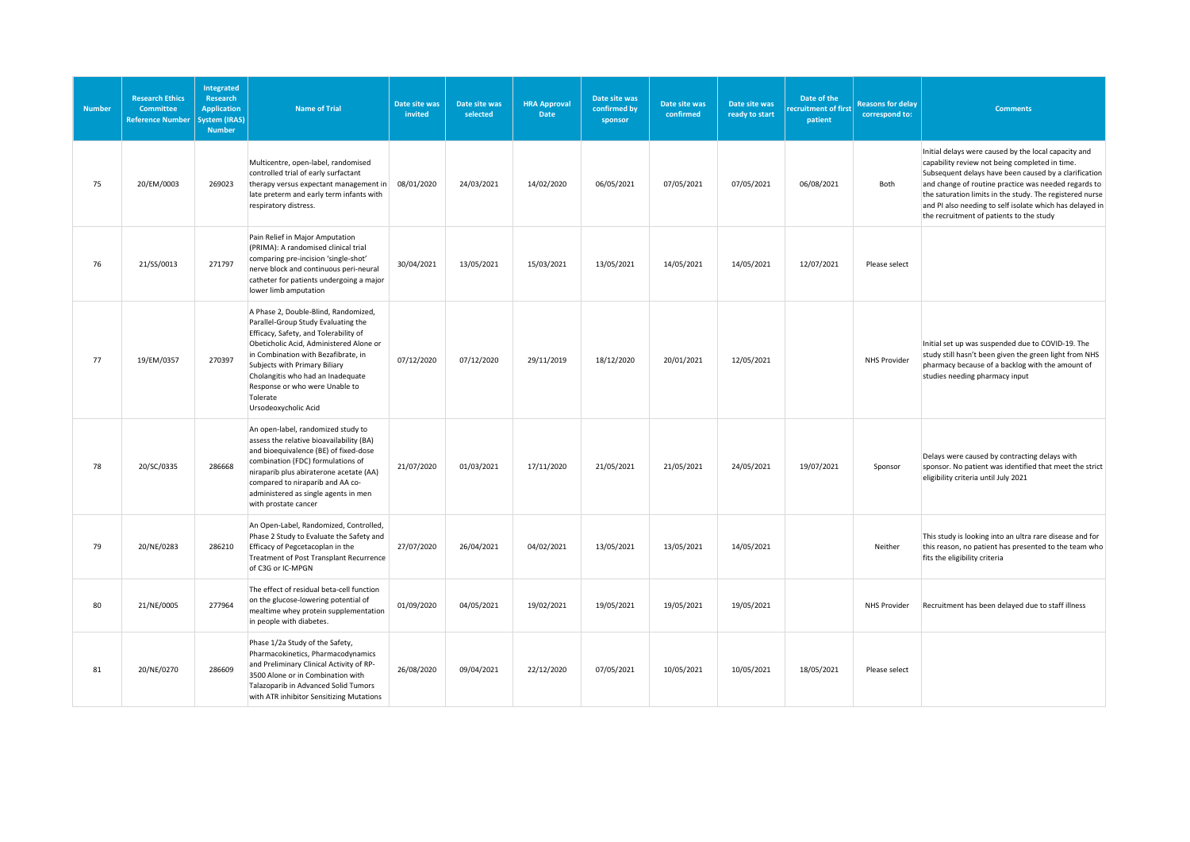| <b>Number</b> | <b>Research Ethics</b><br><b>Committee</b><br><b>Reference Number</b> | <b>Integrated</b><br>Research<br><b>Application</b><br>ystem (IRAS)<br><b>Number</b> | <b>Name of Trial</b>                                                                                                                                                                                                                                                                                                                               | Date site was<br>invited | Date site was<br>selected | <b>HRA Approval</b><br>Date | Date site was<br>confirmed by<br>sponsor | Date site was<br>confirmed | Date site was<br>ready to start | Date of the<br>ecruitment of first<br>patient | <b>Reasons for delay</b><br>correspond to: | <b>Comments</b>                                                                                                                                                                                                                                                                                                                                                                             |
|---------------|-----------------------------------------------------------------------|--------------------------------------------------------------------------------------|----------------------------------------------------------------------------------------------------------------------------------------------------------------------------------------------------------------------------------------------------------------------------------------------------------------------------------------------------|--------------------------|---------------------------|-----------------------------|------------------------------------------|----------------------------|---------------------------------|-----------------------------------------------|--------------------------------------------|---------------------------------------------------------------------------------------------------------------------------------------------------------------------------------------------------------------------------------------------------------------------------------------------------------------------------------------------------------------------------------------------|
| 75            | 20/EM/0003                                                            | 269023                                                                               | Multicentre, open-label, randomised<br>controlled trial of early surfactant<br>therapy versus expectant management in<br>late preterm and early term infants with<br>respiratory distress.                                                                                                                                                         | 08/01/2020               | 24/03/2021                | 14/02/2020                  | 06/05/2021                               | 07/05/2021                 | 07/05/2021                      | 06/08/2021                                    | Both                                       | Initial delays were caused by the local capacity and<br>capability review not being completed in time.<br>Subsequent delays have been caused by a clarification<br>and change of routine practice was needed regards to<br>the saturation limits in the study. The registered nurse<br>and PI also needing to self isolate which has delayed in<br>the recruitment of patients to the study |
| 76            | 21/SS/0013                                                            | 271797                                                                               | Pain Relief in Major Amputation<br>(PRIMA): A randomised clinical trial<br>comparing pre-incision 'single-shot'<br>nerve block and continuous peri-neural<br>catheter for patients undergoing a major<br>lower limb amputation                                                                                                                     | 30/04/2021               | 13/05/2021                | 15/03/2021                  | 13/05/2021                               | 14/05/2021                 | 14/05/2021                      | 12/07/2021                                    | Please select                              |                                                                                                                                                                                                                                                                                                                                                                                             |
| 77            | 19/EM/0357                                                            | 270397                                                                               | A Phase 2, Double-Blind, Randomized,<br>Parallel-Group Study Evaluating the<br>Efficacy, Safety, and Tolerability of<br>Obeticholic Acid, Administered Alone or<br>in Combination with Bezafibrate, in<br>Subjects with Primary Biliary<br>Cholangitis who had an Inadequate<br>Response or who were Unable to<br>Tolerate<br>Ursodeoxycholic Acid | 07/12/2020               | 07/12/2020                | 29/11/2019                  | 18/12/2020                               | 20/01/2021                 | 12/05/2021                      |                                               | <b>NHS Provider</b>                        | Initial set up was suspended due to COVID-19. The<br>study still hasn't been given the green light from NHS<br>pharmacy because of a backlog with the amount of<br>studies needing pharmacy input                                                                                                                                                                                           |
| 78            | 20/SC/0335                                                            | 286668                                                                               | An open-label, randomized study to<br>assess the relative bioavailability (BA)<br>and bioequivalence (BE) of fixed-dose<br>combination (FDC) formulations of<br>niraparib plus abiraterone acetate (AA)<br>compared to niraparib and AA co-<br>administered as single agents in men<br>with prostate cancer                                        | 21/07/2020               | 01/03/2021                | 17/11/2020                  | 21/05/2021                               | 21/05/2021                 | 24/05/2021                      | 19/07/2021                                    | Sponsor                                    | Delays were caused by contracting delays with<br>sponsor. No patient was identified that meet the strict<br>eligibility criteria until July 2021                                                                                                                                                                                                                                            |
| 79            | 20/NE/0283                                                            | 286210                                                                               | An Open-Label, Randomized, Controlled,<br>Phase 2 Study to Evaluate the Safety and<br>Efficacy of Pegcetacoplan in the<br>Treatment of Post Transplant Recurrence<br>of C3G or IC-MPGN                                                                                                                                                             | 27/07/2020               | 26/04/2021                | 04/02/2021                  | 13/05/2021                               | 13/05/2021                 | 14/05/2021                      |                                               | Neither                                    | This study is looking into an ultra rare disease and for<br>this reason, no patient has presented to the team who<br>fits the eligibility criteria                                                                                                                                                                                                                                          |
| 80            | 21/NE/0005                                                            | 277964                                                                               | The effect of residual beta-cell function<br>on the glucose-lowering potential of<br>mealtime whey protein supplementation<br>in people with diabetes.                                                                                                                                                                                             | 01/09/2020               | 04/05/2021                | 19/02/2021                  | 19/05/2021                               | 19/05/2021                 | 19/05/2021                      |                                               | NHS Provider                               | Recruitment has been delayed due to staff illness                                                                                                                                                                                                                                                                                                                                           |
| 81            | 20/NE/0270                                                            | 286609                                                                               | Phase 1/2a Study of the Safety,<br>Pharmacokinetics, Pharmacodynamics<br>and Preliminary Clinical Activity of RP-<br>3500 Alone or in Combination with<br>Talazoparib in Advanced Solid Tumors<br>with ATR inhibitor Sensitizing Mutations                                                                                                         | 26/08/2020               | 09/04/2021                | 22/12/2020                  | 07/05/2021                               | 10/05/2021                 | 10/05/2021                      | 18/05/2021                                    | Please select                              |                                                                                                                                                                                                                                                                                                                                                                                             |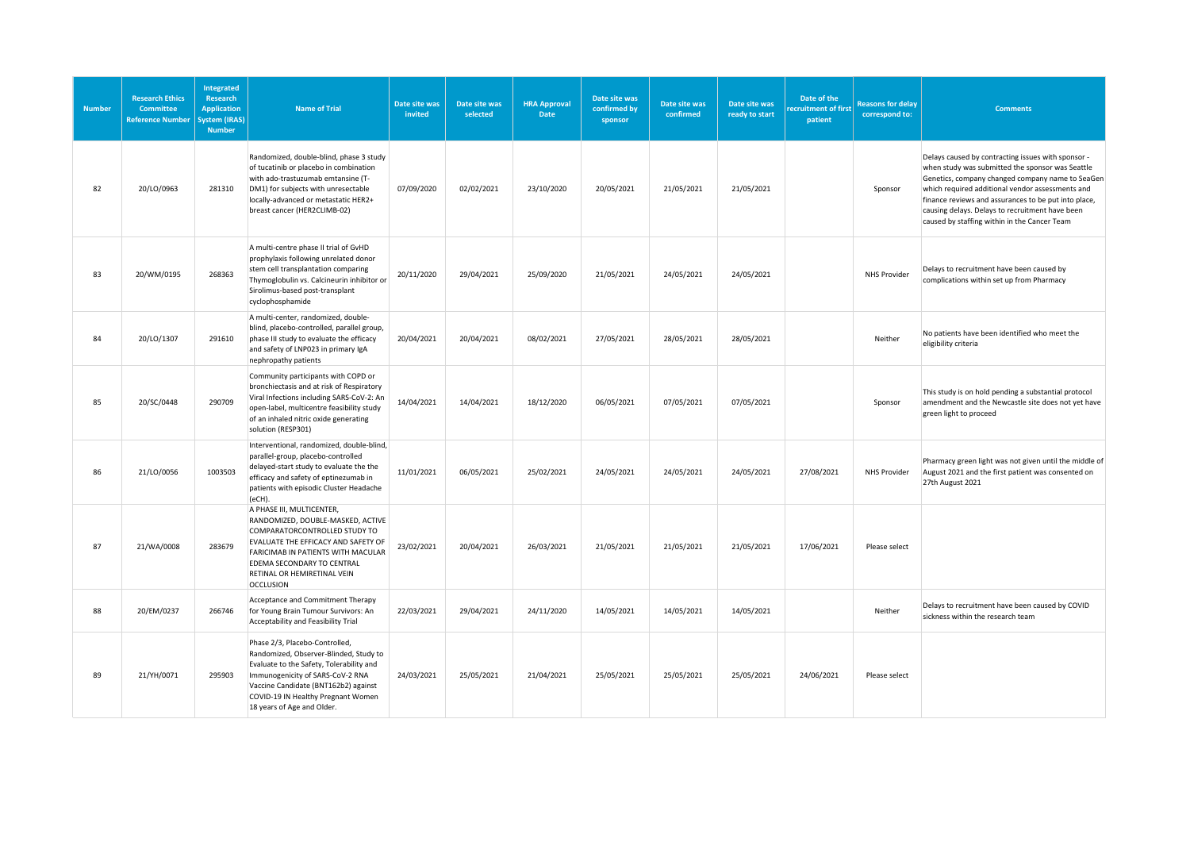| <b>Number</b> | <b>Research Ethics</b><br><b>Committee</b><br><b>Reference Number</b> | <b>Integrated</b><br>Research<br><b>Application</b><br>ystem (IRAS)<br><b>Number</b> | <b>Name of Trial</b>                                                                                                                                                                                                                                                 | Date site was<br>invited | Date site was<br>selected | <b>HRA Approval</b><br>Date | Date site was<br>confirmed by<br>sponsor | Date site was<br>confirmed | Date site was<br>ready to start | Date of the<br>recruitment of first<br>patient | <b>Reasons for delay</b><br>correspond to: | <b>Comments</b>                                                                                                                                                                                                                                                                                                                                                           |
|---------------|-----------------------------------------------------------------------|--------------------------------------------------------------------------------------|----------------------------------------------------------------------------------------------------------------------------------------------------------------------------------------------------------------------------------------------------------------------|--------------------------|---------------------------|-----------------------------|------------------------------------------|----------------------------|---------------------------------|------------------------------------------------|--------------------------------------------|---------------------------------------------------------------------------------------------------------------------------------------------------------------------------------------------------------------------------------------------------------------------------------------------------------------------------------------------------------------------------|
| 82            | 20/LO/0963                                                            | 281310                                                                               | Randomized, double-blind, phase 3 study<br>of tucatinib or placebo in combination<br>with ado-trastuzumab emtansine (T-<br>DM1) for subjects with unresectable<br>locally-advanced or metastatic HER2+<br>breast cancer (HER2CLIMB-02)                               | 07/09/2020               | 02/02/2021                | 23/10/2020                  | 20/05/2021                               | 21/05/2021                 | 21/05/2021                      |                                                | Sponsor                                    | Delays caused by contracting issues with sponsor -<br>when study was submitted the sponsor was Seattle<br>Genetics, company changed company name to SeaGen<br>which required additional vendor assessments and<br>finance reviews and assurances to be put into place,<br>causing delays. Delays to recruitment have been<br>caused by staffing within in the Cancer Team |
| 83            | 20/WM/0195                                                            | 268363                                                                               | A multi-centre phase II trial of GvHD<br>prophylaxis following unrelated donor<br>stem cell transplantation comparing<br>Thymoglobulin vs. Calcineurin inhibitor or<br>Sirolimus-based post-transplant<br>cyclophosphamide                                           | 20/11/2020               | 29/04/2021                | 25/09/2020                  | 21/05/2021                               | 24/05/2021                 | 24/05/2021                      |                                                | NHS Provider                               | Delays to recruitment have been caused by<br>complications within set up from Pharmacy                                                                                                                                                                                                                                                                                    |
| 84            | 20/LO/1307                                                            | 291610                                                                               | A multi-center, randomized, double-<br>blind, placebo-controlled, parallel group,<br>phase III study to evaluate the efficacy<br>and safety of LNP023 in primary IgA<br>nephropathy patients                                                                         | 20/04/2021               | 20/04/2021                | 08/02/2021                  | 27/05/2021                               | 28/05/2021                 | 28/05/2021                      |                                                | Neither                                    | No patients have been identified who meet the<br>eligibility criteria                                                                                                                                                                                                                                                                                                     |
| 85            | 20/SC/0448                                                            | 290709                                                                               | Community participants with COPD or<br>bronchiectasis and at risk of Respiratory<br>Viral Infections including SARS-CoV-2: An<br>open-label, multicentre feasibility study<br>of an inhaled nitric oxide generating<br>solution (RESP301)                            | 14/04/2021               | 14/04/2021                | 18/12/2020                  | 06/05/2021                               | 07/05/2021                 | 07/05/2021                      |                                                | Sponsor                                    | This study is on hold pending a substantial protocol<br>amendment and the Newcastle site does not yet have<br>green light to proceed                                                                                                                                                                                                                                      |
| 86            | 21/LO/0056                                                            | 1003503                                                                              | Interventional, randomized, double-blind,<br>parallel-group, placebo-controlled<br>delayed-start study to evaluate the the<br>efficacy and safety of eptinezumab in<br>patients with episodic Cluster Headache<br>(eCH).                                             | 11/01/2021               | 06/05/2021                | 25/02/2021                  | 24/05/2021                               | 24/05/2021                 | 24/05/2021                      | 27/08/2021                                     | NHS Provider                               | Pharmacy green light was not given until the middle of<br>August 2021 and the first patient was consented on<br>27th August 2021                                                                                                                                                                                                                                          |
| 87            | 21/WA/0008                                                            | 283679                                                                               | A PHASE III, MULTICENTER,<br>RANDOMIZED, DOUBLE-MASKED, ACTIVE<br>COMPARATORCONTROLLED STUDY TO<br>EVALUATE THE EFFICACY AND SAFETY OF<br>FARICIMAB IN PATIENTS WITH MACULAR<br>EDEMA SECONDARY TO CENTRAL<br>RETINAL OR HEMIRETINAL VEIN<br><b>OCCLUSION</b>        | 23/02/2021               | 20/04/2021                | 26/03/2021                  | 21/05/2021                               | 21/05/2021                 | 21/05/2021                      | 17/06/2021                                     | Please select                              |                                                                                                                                                                                                                                                                                                                                                                           |
| 88            | 20/EM/0237                                                            | 266746                                                                               | Acceptance and Commitment Therapy<br>for Young Brain Tumour Survivors: An<br>Acceptability and Feasibility Trial                                                                                                                                                     | 22/03/2021               | 29/04/2021                | 24/11/2020                  | 14/05/2021                               | 14/05/2021                 | 14/05/2021                      |                                                | Neither                                    | Delays to recruitment have been caused by COVID<br>sickness within the research team                                                                                                                                                                                                                                                                                      |
| 89            | 21/YH/0071                                                            | 295903                                                                               | Phase 2/3, Placebo-Controlled,<br>Randomized, Observer-Blinded, Study to<br>Evaluate to the Safety, Tolerability and<br>Immunogenicity of SARS-CoV-2 RNA<br>Vaccine Candidate (BNT162b2) against<br>COVID-19 IN Healthy Pregnant Women<br>18 years of Age and Older. | 24/03/2021               | 25/05/2021                | 21/04/2021                  | 25/05/2021                               | 25/05/2021                 | 25/05/2021                      | 24/06/2021                                     | Please select                              |                                                                                                                                                                                                                                                                                                                                                                           |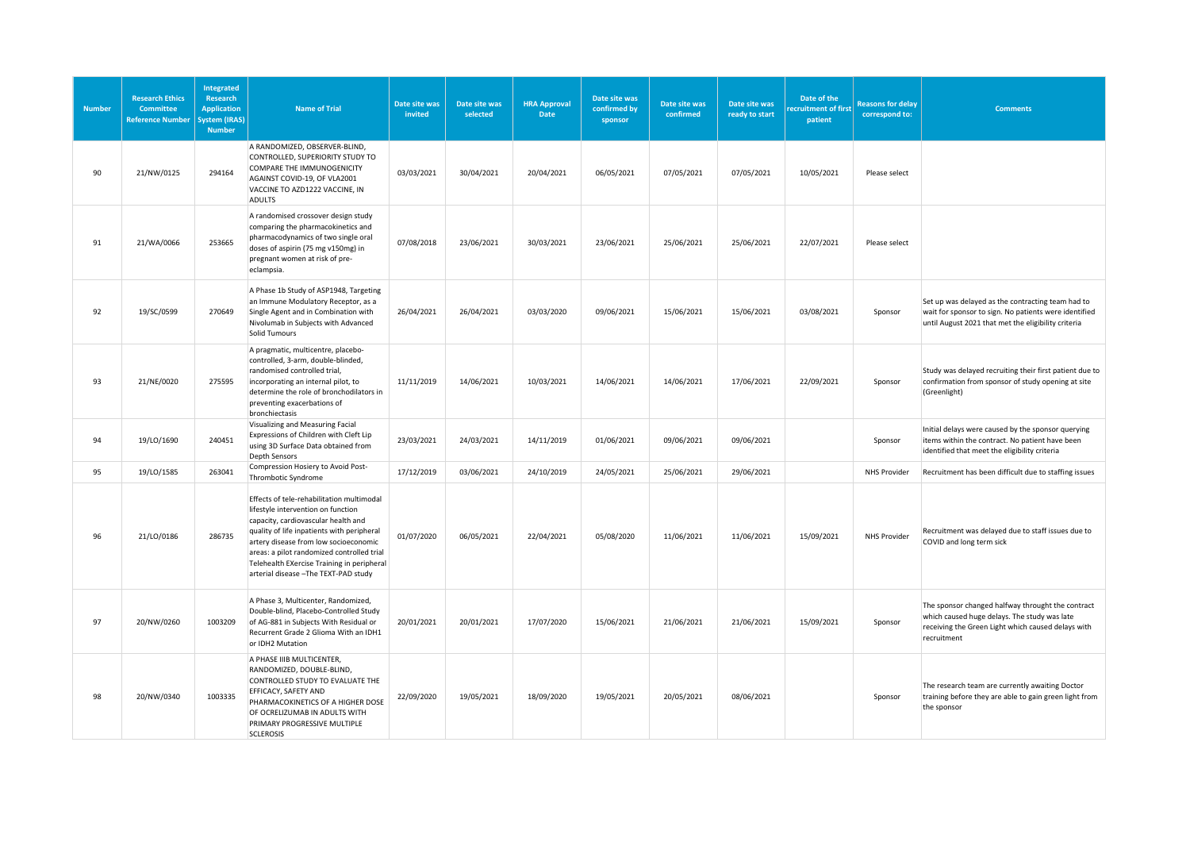| <b>Number</b> | <b>Research Ethics</b><br>Committee<br><b>Reference Number</b> | <b>Integrated</b><br>Research<br><b>Application</b><br>ystem (IRAS)<br><b>Number</b> | <b>Name of Trial</b>                                                                                                                                                                                                                                                                                                                               | Date site was<br>invited | Date site was<br>selected | <b>HRA Approval</b><br><b>Date</b> | Date site was<br>confirmed by<br>sponsor | Date site was<br>confirmed | Date site was<br>ready to start | Date of the<br>recruitment of first<br>patient | <b>Reasons for delay</b><br>correspond to: | <b>Comments</b>                                                                                                                                                        |
|---------------|----------------------------------------------------------------|--------------------------------------------------------------------------------------|----------------------------------------------------------------------------------------------------------------------------------------------------------------------------------------------------------------------------------------------------------------------------------------------------------------------------------------------------|--------------------------|---------------------------|------------------------------------|------------------------------------------|----------------------------|---------------------------------|------------------------------------------------|--------------------------------------------|------------------------------------------------------------------------------------------------------------------------------------------------------------------------|
| 90            | 21/NW/0125                                                     | 294164                                                                               | A RANDOMIZED, OBSERVER-BLIND,<br>CONTROLLED, SUPERIORITY STUDY TO<br>COMPARE THE IMMUNOGENICITY<br>AGAINST COVID-19, OF VLA2001<br>VACCINE TO AZD1222 VACCINE, IN<br><b>ADULTS</b>                                                                                                                                                                 | 03/03/2021               | 30/04/2021                | 20/04/2021                         | 06/05/2021                               | 07/05/2021                 | 07/05/2021                      | 10/05/2021                                     | Please select                              |                                                                                                                                                                        |
| 91            | 21/WA/0066                                                     | 253665                                                                               | A randomised crossover design study<br>comparing the pharmacokinetics and<br>pharmacodynamics of two single oral<br>doses of aspirin (75 mg v150mg) in<br>pregnant women at risk of pre-<br>eclampsia.                                                                                                                                             | 07/08/2018               | 23/06/2021                | 30/03/2021                         | 23/06/2021                               | 25/06/2021                 | 25/06/2021                      | 22/07/2021                                     | Please select                              |                                                                                                                                                                        |
| 92            | 19/SC/0599                                                     | 270649                                                                               | A Phase 1b Study of ASP1948, Targeting<br>an Immune Modulatory Receptor, as a<br>Single Agent and in Combination with<br>Nivolumab in Subjects with Advanced<br>Solid Tumours                                                                                                                                                                      | 26/04/2021               | 26/04/2021                | 03/03/2020                         | 09/06/2021                               | 15/06/2021                 | 15/06/2021                      | 03/08/2021                                     | Sponsor                                    | Set up was delayed as the contracting team had to<br>wait for sponsor to sign. No patients were identified<br>until August 2021 that met the eligibility criteria      |
| 93            | 21/NE/0020                                                     | 275595                                                                               | A pragmatic, multicentre, placebo-<br>controlled, 3-arm, double-blinded,<br>randomised controlled trial,<br>incorporating an internal pilot, to<br>determine the role of bronchodilators in<br>preventing exacerbations of<br>bronchiectasis                                                                                                       | 11/11/2019               | 14/06/2021                | 10/03/2021                         | 14/06/2021                               | 14/06/2021                 | 17/06/2021                      | 22/09/2021                                     | Sponsor                                    | Study was delayed recruiting their first patient due to<br>confirmation from sponsor of study opening at site<br>(Greenlight)                                          |
| 94            | 19/LO/1690                                                     | 240451                                                                               | Visualizing and Measuring Facial<br>Expressions of Children with Cleft Lip<br>using 3D Surface Data obtained from<br><b>Depth Sensors</b>                                                                                                                                                                                                          | 23/03/2021               | 24/03/2021                | 14/11/2019                         | 01/06/2021                               | 09/06/2021                 | 09/06/2021                      |                                                | Sponsor                                    | Initial delays were caused by the sponsor querying<br>items within the contract. No patient have been<br>identified that meet the eligibility criteria                 |
| 95            | 19/LO/1585                                                     | 263041                                                                               | Compression Hosiery to Avoid Post-<br>Thrombotic Syndrome                                                                                                                                                                                                                                                                                          | 17/12/2019               | 03/06/2021                | 24/10/2019                         | 24/05/2021                               | 25/06/2021                 | 29/06/2021                      |                                                | <b>NHS Provider</b>                        | Recruitment has been difficult due to staffing issues                                                                                                                  |
| 96            | 21/LO/0186                                                     | 286735                                                                               | Effects of tele-rehabilitation multimodal<br>lifestyle intervention on function<br>capacity, cardiovascular health and<br>quality of life inpatients with peripheral<br>artery disease from low socioeconomic<br>areas: a pilot randomized controlled trial<br>Telehealth EXercise Training in peripheral<br>arterial disease - The TEXT-PAD study | 01/07/2020               | 06/05/2021                | 22/04/2021                         | 05/08/2020                               | 11/06/2021                 | 11/06/2021                      | 15/09/2021                                     | <b>NHS Provider</b>                        | Recruitment was delayed due to staff issues due to<br>COVID and long term sick                                                                                         |
| 97            | 20/NW/0260                                                     | 1003209                                                                              | A Phase 3, Multicenter, Randomized,<br>Double-blind, Placebo-Controlled Study<br>of AG-881 in Subjects With Residual or<br>Recurrent Grade 2 Glioma With an IDH1<br>or IDH2 Mutation                                                                                                                                                               | 20/01/2021               | 20/01/2021                | 17/07/2020                         | 15/06/2021                               | 21/06/2021                 | 21/06/2021                      | 15/09/2021                                     | Sponsor                                    | The sponsor changed halfway throught the contract<br>which caused huge delays. The study was late<br>receiving the Green Light which caused delays with<br>recruitment |
| 98            | 20/NW/0340                                                     | 1003335                                                                              | A PHASE IIIB MULTICENTER,<br>RANDOMIZED, DOUBLE-BLIND,<br>CONTROLLED STUDY TO EVALUATE THE<br>EFFICACY, SAFETY AND<br>PHARMACOKINETICS OF A HIGHER DOSE<br>OF OCRELIZUMAB IN ADULTS WITH<br>PRIMARY PROGRESSIVE MULTIPLE<br><b>SCLEROSIS</b>                                                                                                       | 22/09/2020               | 19/05/2021                | 18/09/2020                         | 19/05/2021                               | 20/05/2021                 | 08/06/2021                      |                                                | Sponsor                                    | The research team are currently awaiting Doctor<br>training before they are able to gain green light from<br>the sponsor                                               |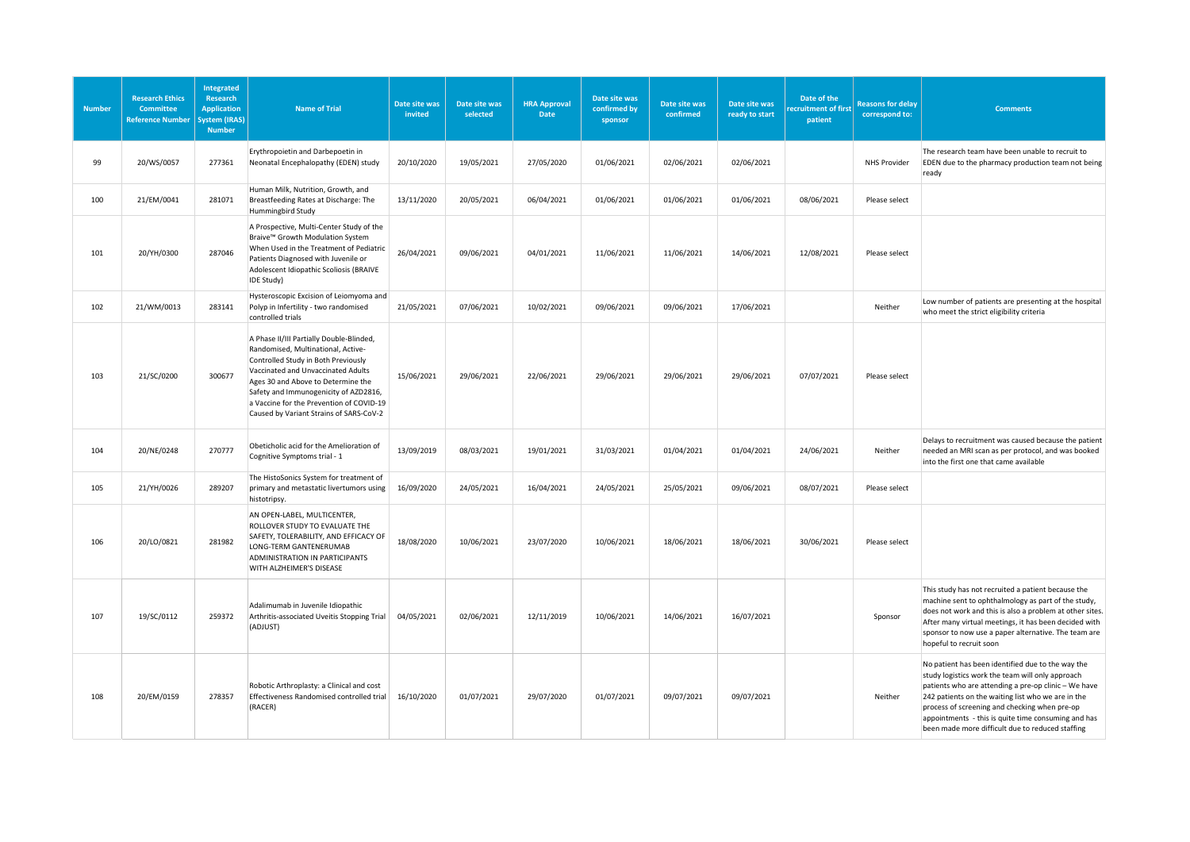| <b>Number</b> | <b>Research Ethics</b><br><b>Committee</b><br><b>Reference Number</b> | Integrated<br><b>Research</b><br><b>Application</b><br>vstem (IRAS)<br><b>Number</b> | <b>Name of Trial</b>                                                                                                                                                                                                                                                                                                              | Date site was<br>invited | Date site was<br>selected | <b>HRA Approval</b><br>Date | Date site was<br>confirmed by<br>sponsor | Date site was<br>confirmed | Date site was<br>ready to start | Date of the<br>ecruitment of first<br>patient | <b>Reasons for delay</b><br>correspond to: | <b>Comments</b>                                                                                                                                                                                                                                                                                                                                                                 |
|---------------|-----------------------------------------------------------------------|--------------------------------------------------------------------------------------|-----------------------------------------------------------------------------------------------------------------------------------------------------------------------------------------------------------------------------------------------------------------------------------------------------------------------------------|--------------------------|---------------------------|-----------------------------|------------------------------------------|----------------------------|---------------------------------|-----------------------------------------------|--------------------------------------------|---------------------------------------------------------------------------------------------------------------------------------------------------------------------------------------------------------------------------------------------------------------------------------------------------------------------------------------------------------------------------------|
| 99            | 20/WS/0057                                                            | 277361                                                                               | Erythropoietin and Darbepoetin in<br>Neonatal Encephalopathy (EDEN) study                                                                                                                                                                                                                                                         | 20/10/2020               | 19/05/2021                | 27/05/2020                  | 01/06/2021                               | 02/06/2021                 | 02/06/2021                      |                                               | NHS Provider                               | The research team have been unable to recruit to<br>EDEN due to the pharmacy production team not being<br>ready                                                                                                                                                                                                                                                                 |
| 100           | 21/EM/0041                                                            | 281071                                                                               | Human Milk, Nutrition, Growth, and<br>Breastfeeding Rates at Discharge: The<br>Hummingbird Study                                                                                                                                                                                                                                  | 13/11/2020               | 20/05/2021                | 06/04/2021                  | 01/06/2021                               | 01/06/2021                 | 01/06/2021                      | 08/06/2021                                    | Please select                              |                                                                                                                                                                                                                                                                                                                                                                                 |
| 101           | 20/YH/0300                                                            | 287046                                                                               | A Prospective, Multi-Center Study of the<br>Braive™ Growth Modulation System<br>When Used in the Treatment of Pediatric<br>Patients Diagnosed with Juvenile or<br>Adolescent Idiopathic Scoliosis (BRAIVE<br>IDE Study)                                                                                                           | 26/04/2021               | 09/06/2021                | 04/01/2021                  | 11/06/2021                               | 11/06/2021                 | 14/06/2021                      | 12/08/2021                                    | Please select                              |                                                                                                                                                                                                                                                                                                                                                                                 |
| 102           | 21/WM/0013                                                            | 283141                                                                               | Hysteroscopic Excision of Leiomyoma and<br>Polyp in Infertility - two randomised<br>controlled trials                                                                                                                                                                                                                             | 21/05/2021               | 07/06/2021                | 10/02/2021                  | 09/06/2021                               | 09/06/2021                 | 17/06/2021                      |                                               | Neither                                    | Low number of patients are presenting at the hospital<br>who meet the strict eligibility criteria                                                                                                                                                                                                                                                                               |
| 103           | 21/SC/0200                                                            | 300677                                                                               | A Phase II/III Partially Double-Blinded,<br>Randomised, Multinational, Active-<br>Controlled Study in Both Previously<br>Vaccinated and Unvaccinated Adults<br>Ages 30 and Above to Determine the<br>Safety and Immunogenicity of AZD2816,<br>a Vaccine for the Prevention of COVID-19<br>Caused by Variant Strains of SARS-CoV-2 | 15/06/2021               | 29/06/2021                | 22/06/2021                  | 29/06/2021                               | 29/06/2021                 | 29/06/2021                      | 07/07/2021                                    | Please select                              |                                                                                                                                                                                                                                                                                                                                                                                 |
| 104           | 20/NE/0248                                                            | 270777                                                                               | Obeticholic acid for the Amelioration of<br>Cognitive Symptoms trial - 1                                                                                                                                                                                                                                                          | 13/09/2019               | 08/03/2021                | 19/01/2021                  | 31/03/2021                               | 01/04/2021                 | 01/04/2021                      | 24/06/2021                                    | Neither                                    | Delays to recruitment was caused because the patient<br>needed an MRI scan as per protocol, and was booked<br>into the first one that came available                                                                                                                                                                                                                            |
| 105           | 21/YH/0026                                                            | 289207                                                                               | The HistoSonics System for treatment of<br>primary and metastatic livertumors using<br>histotripsy.                                                                                                                                                                                                                               | 16/09/2020               | 24/05/2021                | 16/04/2021                  | 24/05/2021                               | 25/05/2021                 | 09/06/2021                      | 08/07/2021                                    | Please select                              |                                                                                                                                                                                                                                                                                                                                                                                 |
| 106           | 20/LO/0821                                                            | 281982                                                                               | AN OPEN-LABEL, MULTICENTER,<br>ROLLOVER STUDY TO EVALUATE THE<br>SAFETY, TOLERABILITY, AND EFFICACY OF<br>LONG-TERM GANTENERUMAB<br>ADMINISTRATION IN PARTICIPANTS<br>WITH ALZHEIMER'S DISEASE                                                                                                                                    | 18/08/2020               | 10/06/2021                | 23/07/2020                  | 10/06/2021                               | 18/06/2021                 | 18/06/2021                      | 30/06/2021                                    | Please select                              |                                                                                                                                                                                                                                                                                                                                                                                 |
| 107           | 19/SC/0112                                                            | 259372                                                                               | Adalimumab in Juvenile Idiopathic<br>Arthritis-associated Uveitis Stopping Trial<br>(ADJUST)                                                                                                                                                                                                                                      | 04/05/2021               | 02/06/2021                | 12/11/2019                  | 10/06/2021                               | 14/06/2021                 | 16/07/2021                      |                                               | Sponsor                                    | This study has not recruited a patient because the<br>machine sent to ophthalmology as part of the study,<br>does not work and this is also a problem at other sites.<br>After many virtual meetings, it has been decided with<br>sponsor to now use a paper alternative. The team are<br>hopeful to recruit soon                                                               |
| 108           | 20/EM/0159                                                            | 278357                                                                               | Robotic Arthroplasty: a Clinical and cost<br>Effectiveness Randomised controlled trial<br>(RACER)                                                                                                                                                                                                                                 | 16/10/2020               | 01/07/2021                | 29/07/2020                  | 01/07/2021                               | 09/07/2021                 | 09/07/2021                      |                                               | Neither                                    | No patient has been identified due to the way the<br>study logistics work the team will only approach<br>patients who are attending a pre-op clinic - We have<br>242 patients on the waiting list who we are in the<br>process of screening and checking when pre-op<br>appointments - this is quite time consuming and has<br>been made more difficult due to reduced staffing |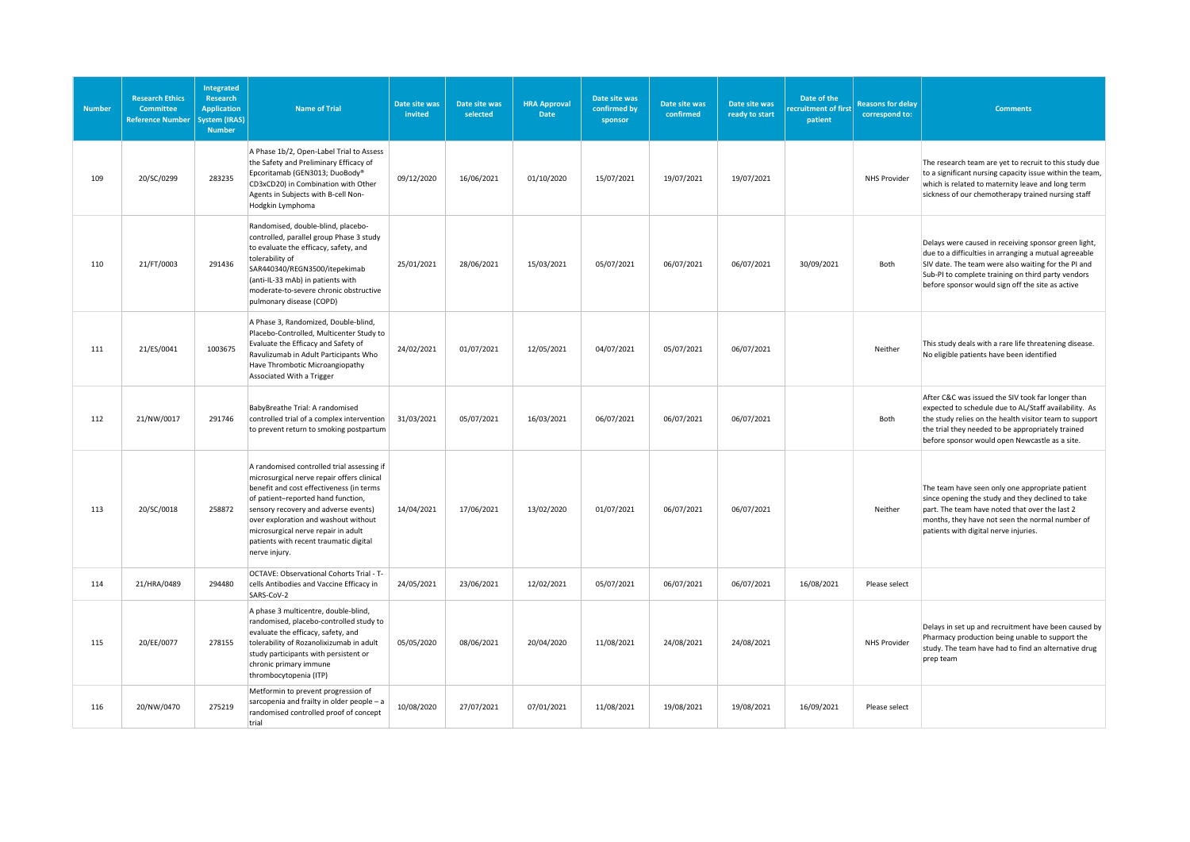| <b>Number</b> | <b>Research Ethics</b><br>Committee<br><b>Reference Number</b> | Integrated<br><b>Research</b><br><b>Application</b><br><b>System (IRAS)</b><br><b>Number</b> | <b>Name of Trial</b>                                                                                                                                                                                                                                                                                                                                         | Date site was<br>invited | Date site was<br>selected | <b>HRA Approval</b><br>Date | Date site was<br>confirmed by<br>sponsor | Date site was<br>confirmed | Date site was<br>ready to start | Date of the<br>ecruitment of first<br>patient | <b>Reasons for delay</b><br>correspond to: | <b>Comments</b>                                                                                                                                                                                                                                                                |
|---------------|----------------------------------------------------------------|----------------------------------------------------------------------------------------------|--------------------------------------------------------------------------------------------------------------------------------------------------------------------------------------------------------------------------------------------------------------------------------------------------------------------------------------------------------------|--------------------------|---------------------------|-----------------------------|------------------------------------------|----------------------------|---------------------------------|-----------------------------------------------|--------------------------------------------|--------------------------------------------------------------------------------------------------------------------------------------------------------------------------------------------------------------------------------------------------------------------------------|
| 109           | 20/SC/0299                                                     | 283235                                                                                       | A Phase 1b/2, Open-Label Trial to Assess<br>the Safety and Preliminary Efficacy of<br>Epcoritamab (GEN3013; DuoBody®<br>CD3xCD20) in Combination with Other<br>Agents in Subjects with B-cell Non-<br>Hodgkin Lymphoma                                                                                                                                       | 09/12/2020               | 16/06/2021                | 01/10/2020                  | 15/07/2021                               | 19/07/2021                 | 19/07/2021                      |                                               | <b>NHS Provider</b>                        | The research team are yet to recruit to this study due<br>to a significant nursing capacity issue within the team,<br>which is related to maternity leave and long term<br>sickness of our chemotherapy trained nursing staff                                                  |
| 110           | 21/FT/0003                                                     | 291436                                                                                       | Randomised, double-blind, placebo-<br>controlled, parallel group Phase 3 study<br>to evaluate the efficacy, safety, and<br>tolerability of<br>SAR440340/REGN3500/itepekimab<br>(anti-IL-33 mAb) in patients with<br>moderate-to-severe chronic obstructive<br>pulmonary disease (COPD)                                                                       | 25/01/2021               | 28/06/2021                | 15/03/2021                  | 05/07/2021                               | 06/07/2021                 | 06/07/2021                      | 30/09/2021                                    | Both                                       | Delays were caused in receiving sponsor green light,<br>due to a difficulties in arranging a mutual agreeable<br>SIV date. The team were also waiting for the PI and<br>Sub-PI to complete training on third party vendors<br>before sponsor would sign off the site as active |
| 111           | 21/ES/0041                                                     | 1003675                                                                                      | A Phase 3, Randomized, Double-blind,<br>Placebo-Controlled, Multicenter Study to<br>Evaluate the Efficacy and Safety of<br>Ravulizumab in Adult Participants Who<br>Have Thrombotic Microangiopathy<br>Associated With a Trigger                                                                                                                             | 24/02/2021               | 01/07/2021                | 12/05/2021                  | 04/07/2021                               | 05/07/2021                 | 06/07/2021                      |                                               | Neither                                    | This study deals with a rare life threatening disease.<br>No eligible patients have been identified                                                                                                                                                                            |
| 112           | 21/NW/0017                                                     | 291746                                                                                       | BabyBreathe Trial: A randomised<br>controlled trial of a complex intervention<br>to prevent return to smoking postpartum                                                                                                                                                                                                                                     | 31/03/2021               | 05/07/2021                | 16/03/2021                  | 06/07/2021                               | 06/07/2021                 | 06/07/2021                      |                                               | Both                                       | After C&C was issued the SIV took far longer than<br>expected to schedule due to AL/Staff availability. As<br>the study relies on the health visitor team to support<br>the trial they needed to be appropriately trained<br>before sponsor would open Newcastle as a site.    |
| 113           | 20/SC/0018                                                     | 258872                                                                                       | A randomised controlled trial assessing if<br>microsurgical nerve repair offers clinical<br>benefit and cost effectiveness (in terms<br>of patient-reported hand function,<br>sensory recovery and adverse events)<br>over exploration and washout without<br>microsurgical nerve repair in adult<br>patients with recent traumatic digital<br>nerve injury. | 14/04/2021               | 17/06/2021                | 13/02/2020                  | 01/07/2021                               | 06/07/2021                 | 06/07/2021                      |                                               | Neither                                    | The team have seen only one appropriate patient<br>since opening the study and they declined to take<br>part. The team have noted that over the last 2<br>months, they have not seen the normal number of<br>patients with digital nerve injuries.                             |
| 114           | 21/HRA/0489                                                    | 294480                                                                                       | OCTAVE: Observational Cohorts Trial - T-<br>cells Antibodies and Vaccine Efficacy in<br>SARS-CoV-2                                                                                                                                                                                                                                                           | 24/05/2021               | 23/06/2021                | 12/02/2021                  | 05/07/2021                               | 06/07/2021                 | 06/07/2021                      | 16/08/2021                                    | Please select                              |                                                                                                                                                                                                                                                                                |
| 115           | 20/EE/0077                                                     | 278155                                                                                       | A phase 3 multicentre, double-blind,<br>randomised, placebo-controlled study to<br>evaluate the efficacy, safety, and<br>tolerability of Rozanolixizumab in adult<br>study participants with persistent or<br>chronic primary immune<br>thrombocytopenia (ITP)                                                                                               | 05/05/2020               | 08/06/2021                | 20/04/2020                  | 11/08/2021                               | 24/08/2021                 | 24/08/2021                      |                                               | <b>NHS Provider</b>                        | Delays in set up and recruitment have been caused by<br>Pharmacy production being unable to support the<br>study. The team have had to find an alternative drug<br>prep team                                                                                                   |
| 116           | 20/NW/0470                                                     | 275219                                                                                       | Metformin to prevent progression of<br>sarcopenia and frailty in older people - a<br>randomised controlled proof of concept<br>trial                                                                                                                                                                                                                         | 10/08/2020               | 27/07/2021                | 07/01/2021                  | 11/08/2021                               | 19/08/2021                 | 19/08/2021                      | 16/09/2021                                    | Please select                              |                                                                                                                                                                                                                                                                                |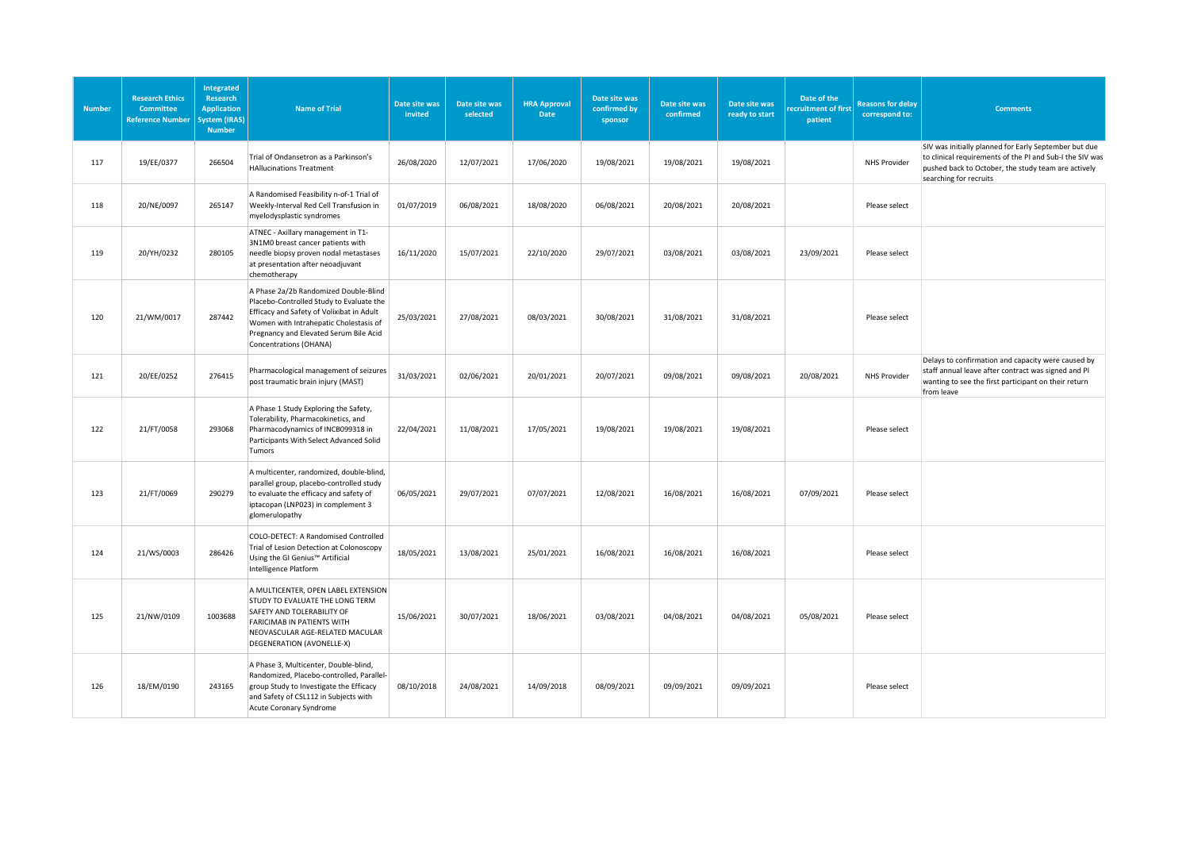| <b>Number</b> | <b>Research Ethics</b><br><b>Committee</b><br><b>Reference Number</b> | Integrated<br><b>Research</b><br><b>Application</b><br>vstem (IRAS)<br><b>Number</b> | <b>Name of Trial</b>                                                                                                                                                                                                                         | Date site was<br>invited | Date site was<br>selected | <b>HRA Approval</b><br>Date | Date site was<br>confirmed by<br>sponsor | Date site was<br>confirmed | Date site was<br>ready to start | Date of the<br>ecruitment of first<br>patient | <b>Reasons for delay</b><br>correspond to: | <b>Comments</b>                                                                                                                                                                                    |
|---------------|-----------------------------------------------------------------------|--------------------------------------------------------------------------------------|----------------------------------------------------------------------------------------------------------------------------------------------------------------------------------------------------------------------------------------------|--------------------------|---------------------------|-----------------------------|------------------------------------------|----------------------------|---------------------------------|-----------------------------------------------|--------------------------------------------|----------------------------------------------------------------------------------------------------------------------------------------------------------------------------------------------------|
| 117           | 19/EE/0377                                                            | 266504                                                                               | Trial of Ondansetron as a Parkinson's<br><b>HAllucinations Treatment</b>                                                                                                                                                                     | 26/08/2020               | 12/07/2021                | 17/06/2020                  | 19/08/2021                               | 19/08/2021                 | 19/08/2021                      |                                               | <b>NHS Provider</b>                        | SIV was initially planned for Early September but due<br>to clinical requirements of the PI and Sub-I the SIV was<br>pushed back to October, the study team are actively<br>searching for recruits |
| 118           | 20/NE/0097                                                            | 265147                                                                               | A Randomised Feasibility n-of-1 Trial of<br>Weekly-Interval Red Cell Transfusion in<br>myelodysplastic syndromes                                                                                                                             | 01/07/2019               | 06/08/2021                | 18/08/2020                  | 06/08/2021                               | 20/08/2021                 | 20/08/2021                      |                                               | Please select                              |                                                                                                                                                                                                    |
| 119           | 20/YH/0232                                                            | 280105                                                                               | ATNEC - Axillary management in T1-<br>3N1M0 breast cancer patients with<br>needle biopsy proven nodal metastases<br>at presentation after neoadjuvant<br>chemotherapy                                                                        | 16/11/2020               | 15/07/2021                | 22/10/2020                  | 29/07/2021                               | 03/08/2021                 | 03/08/2021                      | 23/09/2021                                    | Please select                              |                                                                                                                                                                                                    |
| 120           | 21/WM/0017                                                            | 287442                                                                               | A Phase 2a/2b Randomized Double-Blind<br>Placebo-Controlled Study to Evaluate the<br>Efficacy and Safety of Volixibat in Adult<br>Women with Intrahepatic Cholestasis of<br>Pregnancy and Elevated Serum Bile Acid<br>Concentrations (OHANA) | 25/03/2021               | 27/08/2021                | 08/03/2021                  | 30/08/2021                               | 31/08/2021                 | 31/08/2021                      |                                               | Please select                              |                                                                                                                                                                                                    |
| 121           | 20/EE/0252                                                            | 276415                                                                               | Pharmacological management of seizures<br>post traumatic brain injury (MAST)                                                                                                                                                                 | 31/03/2021               | 02/06/2021                | 20/01/2021                  | 20/07/2021                               | 09/08/2021                 | 09/08/2021                      | 20/08/2021                                    | <b>NHS Provider</b>                        | Delays to confirmation and capacity were caused by<br>staff annual leave after contract was signed and PI<br>wanting to see the first participant on their return<br>from leave                    |
| 122           | 21/FT/0058                                                            | 293068                                                                               | A Phase 1 Study Exploring the Safety,<br>Tolerability, Pharmacokinetics, and<br>Pharmacodynamics of INCB099318 in<br>Participants With Select Advanced Solid<br>Tumors                                                                       | 22/04/2021               | 11/08/2021                | 17/05/2021                  | 19/08/2021                               | 19/08/2021                 | 19/08/2021                      |                                               | Please select                              |                                                                                                                                                                                                    |
| 123           | 21/FT/0069                                                            | 290279                                                                               | A multicenter, randomized, double-blind,<br>parallel group, placebo-controlled study<br>to evaluate the efficacy and safety of<br>iptacopan (LNP023) in complement 3<br>glomerulopathy                                                       | 06/05/2021               | 29/07/2021                | 07/07/2021                  | 12/08/2021                               | 16/08/2021                 | 16/08/2021                      | 07/09/2021                                    | Please select                              |                                                                                                                                                                                                    |
| 124           | 21/WS/0003                                                            | 286426                                                                               | COLO-DETECT: A Randomised Controlled<br>Trial of Lesion Detection at Colonoscopy<br>Using the GI Genius™ Artificial<br>Intelligence Platform                                                                                                 | 18/05/2021               | 13/08/2021                | 25/01/2021                  | 16/08/2021                               | 16/08/2021                 | 16/08/2021                      |                                               | Please select                              |                                                                                                                                                                                                    |
| 125           | 21/NW/0109                                                            | 1003688                                                                              | A MULTICENTER, OPEN LABEL EXTENSION<br>STUDY TO EVALUATE THE LONG TERM<br>SAFETY AND TOLERABILITY OF<br>FARICIMAB IN PATIENTS WITH<br>NEOVASCULAR AGE-RELATED MACULAR<br>DEGENERATION (AVONELLE-X)                                           | 15/06/2021               | 30/07/2021                | 18/06/2021                  | 03/08/2021                               | 04/08/2021                 | 04/08/2021                      | 05/08/2021                                    | Please select                              |                                                                                                                                                                                                    |
| 126           | 18/EM/0190                                                            | 243165                                                                               | A Phase 3, Multicenter, Double-blind,<br>Randomized, Placebo-controlled, Parallel-<br>group Study to Investigate the Efficacy<br>and Safety of CSL112 in Subjects with<br>Acute Coronary Syndrome                                            | 08/10/2018               | 24/08/2021                | 14/09/2018                  | 08/09/2021                               | 09/09/2021                 | 09/09/2021                      |                                               | Please select                              |                                                                                                                                                                                                    |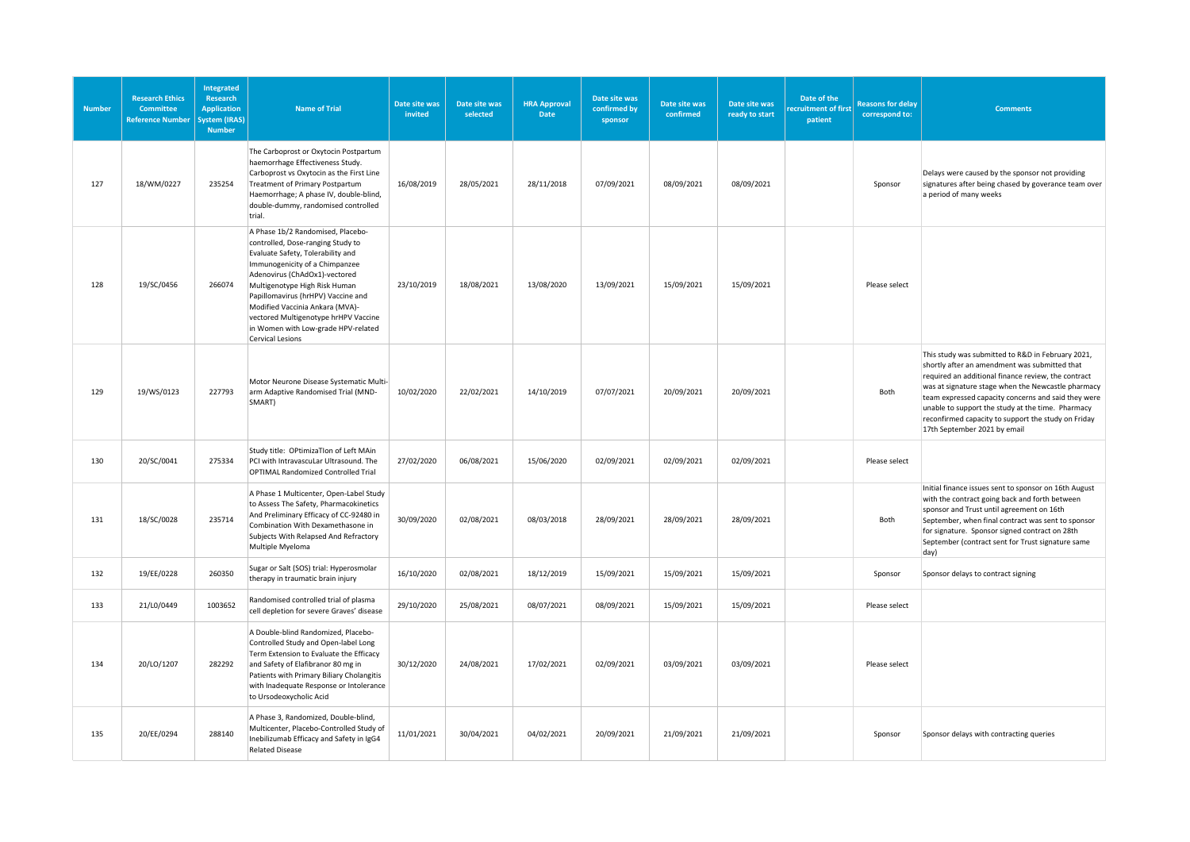| <b>Number</b> | <b>Research Ethics</b><br><b>Committee</b><br><b>Reference Number</b> | Integrated<br><b>Research</b><br><b>Application</b><br>System (IRAS)<br><b>Number</b> | <b>Name of Trial</b>                                                                                                                                                                                                                                                                                                                                                                        | Date site was<br>invited | Date site was<br>selected | <b>HRA Approval</b><br>Date | Date site was<br>confirmed by<br>sponsor | Date site was<br>confirmed | Date site was<br>ready to start | Date of the<br>ecruitment of first<br>patient | <b>Reasons for delay</b><br>correspond to: | <b>Comments</b>                                                                                                                                                                                                                                                                                                                                                                                                    |
|---------------|-----------------------------------------------------------------------|---------------------------------------------------------------------------------------|---------------------------------------------------------------------------------------------------------------------------------------------------------------------------------------------------------------------------------------------------------------------------------------------------------------------------------------------------------------------------------------------|--------------------------|---------------------------|-----------------------------|------------------------------------------|----------------------------|---------------------------------|-----------------------------------------------|--------------------------------------------|--------------------------------------------------------------------------------------------------------------------------------------------------------------------------------------------------------------------------------------------------------------------------------------------------------------------------------------------------------------------------------------------------------------------|
| 127           | 18/WM/0227                                                            | 235254                                                                                | The Carboprost or Oxytocin Postpartum<br>haemorrhage Effectiveness Study.<br>Carboprost vs Oxytocin as the First Line<br>Treatment of Primary Postpartum<br>Haemorrhage; A phase IV, double-blind,<br>double-dummy, randomised controlled<br>trial.                                                                                                                                         | 16/08/2019               | 28/05/2021                | 28/11/2018                  | 07/09/2021                               | 08/09/2021                 | 08/09/2021                      |                                               | Sponsor                                    | Delays were caused by the sponsor not providing<br>signatures after being chased by goverance team over<br>a period of many weeks                                                                                                                                                                                                                                                                                  |
| 128           | 19/SC/0456                                                            | 266074                                                                                | A Phase 1b/2 Randomised, Placebo-<br>controlled, Dose-ranging Study to<br>Evaluate Safety, Tolerability and<br>Immunogenicity of a Chimpanzee<br>Adenovirus (ChAdOx1)-vectored<br>Multigenotype High Risk Human<br>Papillomavirus (hrHPV) Vaccine and<br>Modified Vaccinia Ankara (MVA)-<br>vectored Multigenotype hrHPV Vaccine<br>in Women with Low-grade HPV-related<br>Cervical Lesions | 23/10/2019               | 18/08/2021                | 13/08/2020                  | 13/09/2021                               | 15/09/2021                 | 15/09/2021                      |                                               | Please select                              |                                                                                                                                                                                                                                                                                                                                                                                                                    |
| 129           | 19/WS/0123                                                            | 227793                                                                                | Motor Neurone Disease Systematic Multi-<br>arm Adaptive Randomised Trial (MND-<br>SMART)                                                                                                                                                                                                                                                                                                    | 10/02/2020               | 22/02/2021                | 14/10/2019                  | 07/07/2021                               | 20/09/2021                 | 20/09/2021                      |                                               | Both                                       | This study was submitted to R&D in February 2021,<br>shortly after an amendment was submitted that<br>required an additional finance review, the contract<br>was at signature stage when the Newcastle pharmacy<br>team expressed capacity concerns and said they were<br>unable to support the study at the time. Pharmacy<br>reconfirmed capacity to support the study on Friday<br>17th September 2021 by email |
| 130           | 20/SC/0041                                                            | 275334                                                                                | Study title: OPtimizaTlon of Left MAin<br>PCI with IntravascuLar Ultrasound. The<br><b>OPTIMAL Randomized Controlled Trial</b>                                                                                                                                                                                                                                                              | 27/02/2020               | 06/08/2021                | 15/06/2020                  | 02/09/2021                               | 02/09/2021                 | 02/09/2021                      |                                               | Please select                              |                                                                                                                                                                                                                                                                                                                                                                                                                    |
| 131           | 18/SC/0028                                                            | 235714                                                                                | A Phase 1 Multicenter, Open-Label Study<br>to Assess The Safety, Pharmacokinetics<br>And Preliminary Efficacy of CC-92480 in<br>Combination With Dexamethasone in<br>Subjects With Relapsed And Refractory<br>Multiple Myeloma                                                                                                                                                              | 30/09/2020               | 02/08/2021                | 08/03/2018                  | 28/09/2021                               | 28/09/2021                 | 28/09/2021                      |                                               | Both                                       | Initial finance issues sent to sponsor on 16th August<br>with the contract going back and forth between<br>sponsor and Trust until agreement on 16th<br>September, when final contract was sent to sponsor<br>for signature. Sponsor signed contract on 28th<br>September (contract sent for Trust signature same<br>day)                                                                                          |
| 132           | 19/EE/0228                                                            | 260350                                                                                | Sugar or Salt (SOS) trial: Hyperosmolar<br>therapy in traumatic brain injury                                                                                                                                                                                                                                                                                                                | 16/10/2020               | 02/08/2021                | 18/12/2019                  | 15/09/2021                               | 15/09/2021                 | 15/09/2021                      |                                               | Sponsor                                    | Sponsor delays to contract signing                                                                                                                                                                                                                                                                                                                                                                                 |
| 133           | 21/L0/0449                                                            | 1003652                                                                               | Randomised controlled trial of plasma<br>cell depletion for severe Graves' disease                                                                                                                                                                                                                                                                                                          | 29/10/2020               | 25/08/2021                | 08/07/2021                  | 08/09/2021                               | 15/09/2021                 | 15/09/2021                      |                                               | Please select                              |                                                                                                                                                                                                                                                                                                                                                                                                                    |
| 134           | 20/LO/1207                                                            | 282292                                                                                | A Double-blind Randomized, Placebo-<br>Controlled Study and Open-label Long<br>Term Extension to Evaluate the Efficacy<br>and Safety of Elafibranor 80 mg in<br>Patients with Primary Biliary Cholangitis<br>with Inadequate Response or Intolerance<br>to Ursodeoxycholic Acid                                                                                                             | 30/12/2020               | 24/08/2021                | 17/02/2021                  | 02/09/2021                               | 03/09/2021                 | 03/09/2021                      |                                               | Please select                              |                                                                                                                                                                                                                                                                                                                                                                                                                    |
| 135           | 20/EE/0294                                                            | 288140                                                                                | A Phase 3, Randomized, Double-blind,<br>Multicenter, Placebo-Controlled Study of<br>Inebilizumab Efficacy and Safety in IgG4<br><b>Related Disease</b>                                                                                                                                                                                                                                      | 11/01/2021               | 30/04/2021                | 04/02/2021                  | 20/09/2021                               | 21/09/2021                 | 21/09/2021                      |                                               | Sponsor                                    | Sponsor delays with contracting queries                                                                                                                                                                                                                                                                                                                                                                            |